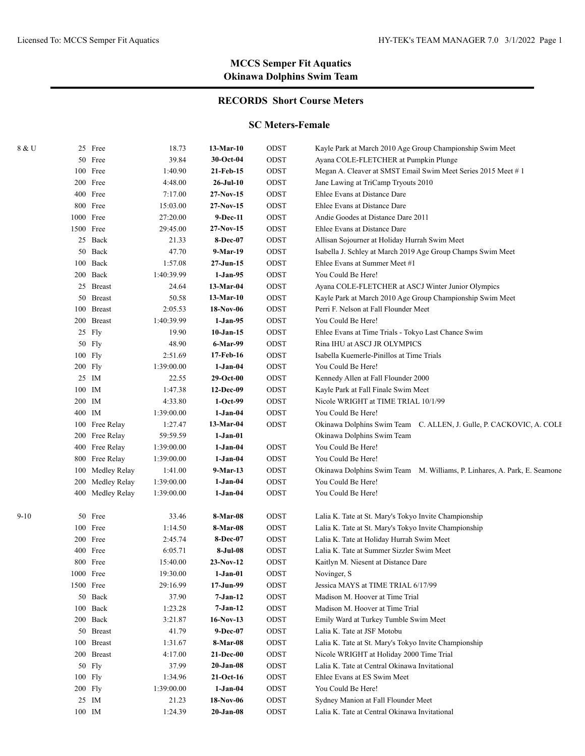## **RECORDS Short Course Meters**

#### **SC Meters-Female**

| 8 & U |           | 25 Free          | 18.73      | 13-Mar-10       | ODST | Kayle Park at March 2010 Age Group Championship Swim Meet                |
|-------|-----------|------------------|------------|-----------------|------|--------------------------------------------------------------------------|
|       |           | 50 Free          | 39.84      | $30$ -Oct-04    | ODST | Ayana COLE-FLETCHER at Pumpkin Plunge                                    |
|       |           | 100 Free         | 1:40.90    | 21-Feb-15       | ODST | Megan A. Cleaver at SMST Email Swim Meet Series 2015 Meet #1             |
|       |           | 200 Free         | 4:48.00    | 26-Jul-10       | ODST | Jane Lawing at TriCamp Tryouts 2010                                      |
|       |           | 400 Free         | 7:17.00    | $27-Nov-15$     | ODST | Ehlee Evans at Distance Dare                                             |
|       |           | 800 Free         | 15:03.00   | $27-Nov-15$     | ODST | Ehlee Evans at Distance Dare                                             |
|       |           | 1000 Free        | 27:20.00   | 9-Dec-11        | ODST | Andie Goodes at Distance Dare 2011                                       |
|       | 1500 Free |                  | 29:45.00   | $27-Nov-15$     | ODST | Ehlee Evans at Distance Dare                                             |
|       |           | 25 Back          | 21.33      | <b>8-Dec-07</b> | ODST | Allisan Sojourner at Holiday Hurrah Swim Meet                            |
|       |           | 50 Back          | 47.70      | 9-Mar-19        | ODST | Isabella J. Schley at March 2019 Age Group Champs Swim Meet              |
|       |           | 100 Back         | 1:57.08    | 27-Jun-15       | ODST | Ehlee Evans at Summer Meet #1                                            |
|       |           | 200 Back         | 1:40:39.99 | 1-Jan-95        | ODST | You Could Be Here!                                                       |
|       |           | 25 Breast        | 24.64      | $13-Mar-04$     | ODST | Ayana COLE-FLETCHER at ASCJ Winter Junior Olympics                       |
|       |           | 50 Breast        | 50.58      | 13-Mar-10       | ODST | Kayle Park at March 2010 Age Group Championship Swim Meet                |
|       |           | 100 Breast       | 2:05.53    | 18-Nov-06       | ODST | Perri F. Nelson at Fall Flounder Meet                                    |
|       |           | 200 Breast       | 1:40:39.99 | 1-Jan-95        | ODST | You Could Be Here!                                                       |
|       |           | 25 Fly           | 19.90      | 10-Jan-15       | ODST | Ehlee Evans at Time Trials - Tokyo Last Chance Swim                      |
|       |           | 50 Fly           | 48.90      | 6-Mar-99        | ODST | Rina IHU at ASCJ JR OLYMPICS                                             |
|       |           | 100 Fly          | 2:51.69    | 17-Feb-16       | ODST | Isabella Kuemerle-Pinillos at Time Trials                                |
|       |           | 200 Fly          | 1:39:00.00 | 1-Jan-04        | ODST | You Could Be Here!                                                       |
|       |           | 25 IM            | 22.55      | $29-Oct-00$     | ODST | Kennedy Allen at Fall Flounder 2000                                      |
|       | 100 IM    |                  | 1:47.38    | 12-Dec-09       | ODST | Kayle Park at Fall Finale Swim Meet                                      |
|       | 200 IM    |                  | 4:33.80    | $1-Oct-99$      | ODST | Nicole WRIGHT at TIME TRIAL 10/1/99                                      |
|       | 400 IM    |                  | 1:39:00.00 | 1-Jan-04        | ODST | You Could Be Here!                                                       |
|       |           | 100 Free Relay   | 1:27.47    | 13-Mar-04       | ODST | Okinawa Dolphins Swim Team C. ALLEN, J. Gulle, P. CACKOVIC, A. COLE      |
|       |           | 200 Free Relay   | 59:59.59   | 1-Jan-01        |      | Okinawa Dolphins Swim Team                                               |
|       |           | 400 Free Relay   | 1:39:00.00 | $1-Jan-04$      | ODST | You Could Be Here!                                                       |
|       |           | 800 Free Relay   | 1:39:00.00 | $1-Jan-04$      | ODST | You Could Be Here!                                                       |
|       |           | 100 Medley Relay | 1:41.00    | 9-Mar-13        | ODST | Okinawa Dolphins Swim Team M. Williams, P. Linhares, A. Park, E. Seamone |
|       |           | 200 Medley Relay | 1:39:00.00 | 1-Jan-04        | ODST | You Could Be Here!                                                       |
|       |           | 400 Medley Relay | 1:39:00.00 | 1-Jan-04        | ODST | You Could Be Here!                                                       |
| 9-10  |           | 50 Free          | 33.46      | 8-Mar-08        | ODST | Lalia K. Tate at St. Mary's Tokyo Invite Championship                    |
|       |           | 100 Free         | 1:14.50    | 8-Mar-08        | ODST | Lalia K. Tate at St. Mary's Tokyo Invite Championship                    |
|       |           | 200 Free         | 2:45.74    | <b>8-Dec-07</b> | ODST | Lalia K. Tate at Holiday Hurrah Swim Meet                                |
|       |           | 400 Free         | 6:05.71    | 8-Jul-08        | ODST | Lalia K. Tate at Summer Sizzler Swim Meet                                |
|       |           | 800 Free         | 15:40.00   | 23-Nov-12       | ODST | Kaitlyn M. Niesent at Distance Dare                                      |
|       |           | 1000 Free        | 19:30.00   | $1-Jan-01$      | ODST | Novinger, S                                                              |
|       |           | 1500 Free        | 29:16.99   | 17-Jun-99       | ODST | Jessica MAYS at TIME TRIAL 6/17/99                                       |
|       |           | 50 Back          | 37.90      | 7-Jan-12        | ODST | Madison M. Hoover at Time Trial                                          |
|       |           | 100 Back         | 1:23.28    | 7-Jan-12        | ODST | Madison M. Hoover at Time Trial                                          |
|       |           | 200 Back         | 3:21.87    | $16-Nov-13$     | ODST | Emily Ward at Turkey Tumble Swim Meet                                    |
|       |           | 50 Breast        | 41.79      | 9-Dec-07        | ODST | Lalia K. Tate at JSF Motobu                                              |
|       |           | 100 Breast       | 1:31.67    | 8-Mar-08        | ODST | Lalia K. Tate at St. Mary's Tokyo Invite Championship                    |
|       |           | 200 Breast       | 4:17.00    | $21-Dec-00$     | ODST | Nicole WRIGHT at Holiday 2000 Time Trial                                 |
|       |           | 50 Fly           | 37.99      | $20$ -Jan-08    | ODST | Lalia K. Tate at Central Okinawa Invitational                            |
|       |           | 100 Fly          | 1:34.96    | $21-Oct-16$     | ODST | Ehlee Evans at ES Swim Meet                                              |
|       |           | 200 Fly          | 1:39:00.00 | $1-Jan-04$      | ODST | You Could Be Here!                                                       |
|       |           | 25 IM            | 21.23      | 18-Nov-06       | ODST | Sydney Manion at Fall Flounder Meet                                      |
|       | 100 IM    |                  | 1:24.39    | $20$ -Jan-08    | ODST | Lalia K. Tate at Central Okinawa Invitational                            |
|       |           |                  |            |                 |      |                                                                          |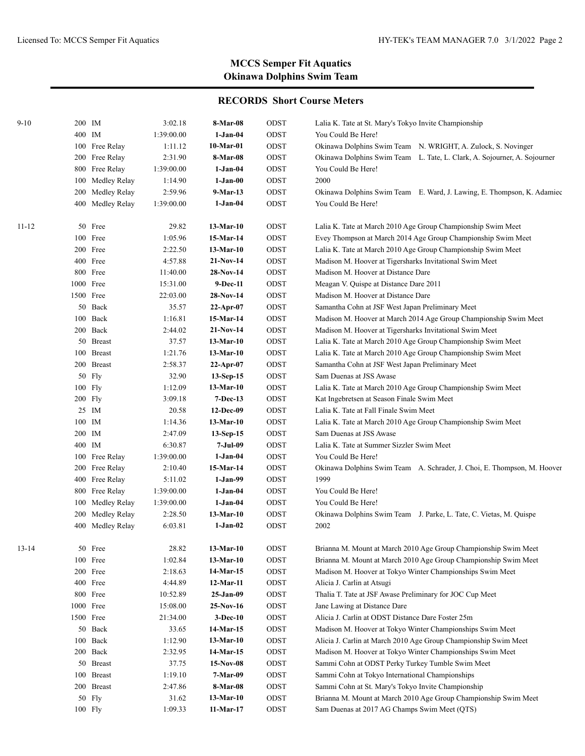| $9 - 10$  | 200 IM           | 3:02.18    | 8-Mar-08    | ODST        | Lalia K. Tate at St. Mary's Tokyo Invite Championship                    |
|-----------|------------------|------------|-------------|-------------|--------------------------------------------------------------------------|
|           | 400 IM           | 1:39:00.00 | $1-Jan-04$  | ODST        | You Could Be Here!                                                       |
|           | 100 Free Relay   | 1:11.12    | 10-Mar-01   | ODST        | Okinawa Dolphins Swim Team N. WRIGHT, A. Zulock, S. Novinger             |
|           | 200 Free Relay   | 2:31.90    | 8-Mar-08    | ODST        | Okinawa Dolphins Swim Team L. Tate, L. Clark, A. Sojourner, A. Sojourner |
|           | 800 Free Relay   | 1:39:00.00 | $1-Jan-04$  | ODST        | You Could Be Here!                                                       |
|           | 100 Medley Relay | 1:14.90    | $1-Jan-00$  | ODST        | 2000                                                                     |
|           | 200 Medley Relay | 2:59.96    | 9-Mar-13    | ODST        | Okinawa Dolphins Swim Team E. Ward, J. Lawing, E. Thompson, K. Adamiec   |
|           | 400 Medley Relay | 1:39:00.00 | $1-Jan-04$  | ODST        | You Could Be Here!                                                       |
| $11 - 12$ | 50 Free          | 29.82      | 13-Mar-10   | ODST        | Lalia K. Tate at March 2010 Age Group Championship Swim Meet             |
|           | 100 Free         | 1:05.96    | 15-Mar-14   | $\rm{ODST}$ | Evey Thompson at March 2014 Age Group Championship Swim Meet             |
|           | 200 Free         | 2:22.50    | 13-Mar-10   | ODST        | Lalia K. Tate at March 2010 Age Group Championship Swim Meet             |
|           | 400 Free         | 4:57.88    | $21-Nov-14$ | ODST        | Madison M. Hoover at Tigersharks Invitational Swim Meet                  |
|           | 800 Free         | 11:40.00   | 28-Nov-14   | ODST        | Madison M. Hoover at Distance Dare                                       |
|           | 1000 Free        | 15:31.00   | 9-Dec-11    | ODST        | Meagan V. Quispe at Distance Dare 2011                                   |
|           | 1500 Free        | 22:03.00   | 28-Nov-14   | ODST        | Madison M. Hoover at Distance Dare                                       |
|           | 50 Back          | 35.57      | $22-Apr-07$ | ODST        | Samantha Cohn at JSF West Japan Preliminary Meet                         |
|           | 100 Back         | 1:16.81    | 15-Mar-14   | ODST        | Madison M. Hoover at March 2014 Age Group Championship Swim Meet         |
|           | 200 Back         | 2:44.02    | $21-Nov-14$ | ODST        | Madison M. Hoover at Tigersharks Invitational Swim Meet                  |
|           | 50 Breast        | 37.57      | 13-Mar-10   | ODST        | Lalia K. Tate at March 2010 Age Group Championship Swim Meet             |
|           | 100 Breast       | 1:21.76    | $13-Mar-10$ | ODST        | Lalia K. Tate at March 2010 Age Group Championship Swim Meet             |
|           | 200 Breast       | 2:58.37    | 22-Apr-07   | ODST        | Samantha Cohn at JSF West Japan Preliminary Meet                         |
|           | 50 Fly           | 32.90      | 13-Sep-15   | ODST        | Sam Duenas at JSS Awase                                                  |
|           | $100$ Fly        | 1:12.09    | 13-Mar-10   | ODST        | Lalia K. Tate at March 2010 Age Group Championship Swim Meet             |
|           | 200 Fly          | 3:09.18    | 7-Dec-13    | ODST        | Kat Ingebretsen at Season Finale Swim Meet                               |
|           | 25 IM            | 20.58      | 12-Dec-09   | ODST        | Lalia K. Tate at Fall Finale Swim Meet                                   |
|           | 100 IM           | 1:14.36    | 13-Mar-10   | ODST        | Lalia K. Tate at March 2010 Age Group Championship Swim Meet             |
|           | 200 IM           | 2:47.09    | 13-Sep-15   | ODST        | Sam Duenas at JSS Awase                                                  |
|           | 400 IM           | 6:30.87    | $7-Jul-09$  | ODST        | Lalia K. Tate at Summer Sizzler Swim Meet                                |
|           | 100 Free Relay   | 1:39:00.00 | $1-Jan-04$  | ODST        | You Could Be Here!                                                       |
|           | 200 Free Relay   | 2:10.40    | 15-Mar-14   | ODST        | Okinawa Dolphins Swim Team A. Schrader, J. Choi, E. Thompson, M. Hoover  |
|           | 400 Free Relay   | 5:11.02    | $1-Jan-99$  | ODST        | 1999                                                                     |
|           | 800 Free Relay   | 1:39:00.00 | $1-Jan-04$  | ODST        | You Could Be Here!                                                       |
|           | 100 Medley Relay | 1:39:00.00 | $1-Jan-04$  | ODST        | You Could Be Here!                                                       |
|           | 200 Medley Relay | 2:28.50    | 13-Mar-10   | ODST        | Okinawa Dolphins Swim Team J. Parke, L. Tate, C. Vietas, M. Quispe       |
|           | 400 Medley Relay | 6:03.81    | $1-Jan-02$  | ODST        | 2002                                                                     |
| $13 - 14$ | 50 Free          | 28.82      | $13-Mar-10$ | ODST        | Brianna M. Mount at March 2010 Age Group Championship Swim Meet          |
|           | 100 Free         | 1:02.84    | $13-Mar-10$ | ODST        | Brianna M. Mount at March 2010 Age Group Championship Swim Meet          |
|           | 200 Free         | 2:18.63    | 14-Mar-15   | ODST        | Madison M. Hoover at Tokyo Winter Championships Swim Meet                |
|           | 400 Free         | 4:44.89    | 12-Mar-11   | ODST        | Alicia J. Carlin at Atsugi                                               |
|           | 800 Free         | 10:52.89   | 25-Jan-09   | ODST        | Thalia T. Tate at JSF Awase Preliminary for JOC Cup Meet                 |
|           | 1000 Free        | 15:08.00   | $25-Nov-16$ | ODST        | Jane Lawing at Distance Dare                                             |
|           | 1500 Free        | 21:34.00   | $3-Dec-10$  | ODST        | Alicia J. Carlin at ODST Distance Dare Foster 25m                        |
|           | 50 Back          | 33.65      | 14-Mar-15   | ODST        | Madison M. Hoover at Tokyo Winter Championships Swim Meet                |
|           | 100 Back         | 1:12.90    | $13-Mar-10$ | ODST        | Alicia J. Carlin at March 2010 Age Group Championship Swim Meet          |
|           | 200 Back         | 2:32.95    | 14-Mar-15   | ODST        | Madison M. Hoover at Tokyo Winter Championships Swim Meet                |
|           | 50 Breast        | 37.75      | $15-Nov-08$ | ODST        | Sammi Cohn at ODST Perky Turkey Tumble Swim Meet                         |
|           | 100 Breast       | 1:19.10    | 7-Mar-09    | ODST        | Sammi Cohn at Tokyo International Championships                          |
|           | 200 Breast       | 2:47.86    | 8-Mar-08    | ODST        | Sammi Cohn at St. Mary's Tokyo Invite Championship                       |
|           | 50 Fly           | 31.62      | $13-Mar-10$ | ODST        | Brianna M. Mount at March 2010 Age Group Championship Swim Meet          |
|           | $100$ Fly        | 1:09.33    | 11-Mar-17   | ODST        | Sam Duenas at 2017 AG Champs Swim Meet (QTS)                             |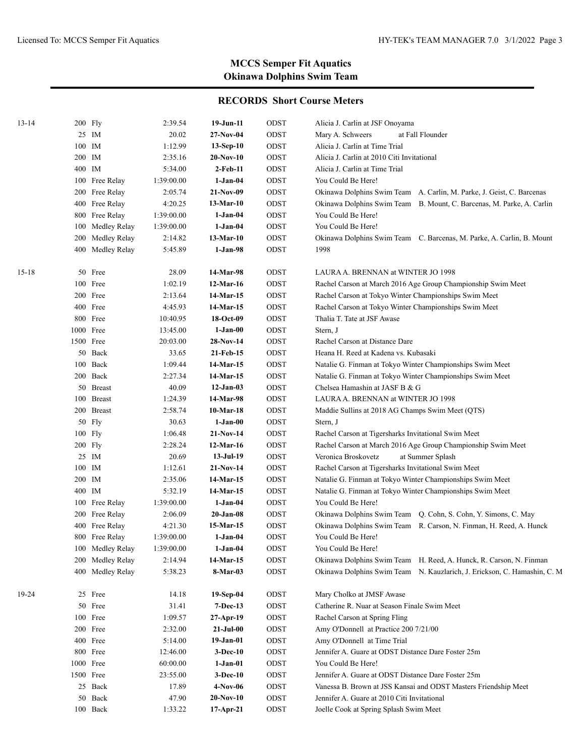| $13 - 14$ | 200 Fly   |                                  | 2:39.54            | $19-Jun-11$            | ODST         | Alicia J. Carlin at JSF Onoyama                                                          |
|-----------|-----------|----------------------------------|--------------------|------------------------|--------------|------------------------------------------------------------------------------------------|
|           |           | 25 IM                            | 20.02              | 27-Nov-04              | ODST         | Mary A. Schweers<br>at Fall Flounder                                                     |
|           | 100 IM    |                                  | 1:12.99            | 13-Sep-10              | ODST         | Alicia J. Carlin at Time Trial                                                           |
|           | 200 IM    |                                  | 2:35.16            | $20-Nov-10$            | ODST         | Alicia J. Carlin at 2010 Citi Invitational                                               |
|           | 400 IM    |                                  | 5:34.00            | $2-Feb-11$             | ODST         | Alicia J. Carlin at Time Trial                                                           |
|           |           | 100 Free Relay                   | 1:39:00.00         | $1-Jan-04$             | ODST         | You Could Be Here!                                                                       |
|           |           | 200 Free Relay                   | 2:05.74            | 21-Nov-09              | ODST         | Okinawa Dolphins Swim Team A. Carlin, M. Parke, J. Geist, C. Barcenas                    |
|           |           | 400 Free Relay                   | 4:20.25            | 13-Mar-10              | ODST         | Okinawa Dolphins Swim Team B. Mount, C. Barcenas, M. Parke, A. Carlin                    |
|           |           | 800 Free Relay                   | 1:39:00.00         | $1-Jan-04$             | ODST         | You Could Be Here!                                                                       |
|           |           | 100 Medley Relay                 | 1:39:00.00         | $1-Jan-04$             | ODST         | You Could Be Here!                                                                       |
|           |           | 200 Medley Relay                 | 2:14.82            | $13-Mar-10$            | ODST         | Okinawa Dolphins Swim Team C. Barcenas, M. Parke, A. Carlin, B. Mount                    |
|           |           | 400 Medley Relay                 | 5:45.89            | $1-Jan-98$             | ODST         | 1998                                                                                     |
| $15 - 18$ |           | 50 Free                          | 28.09              | 14-Mar-98              | ODST         | LAURA A. BRENNAN at WINTER JO 1998                                                       |
|           |           | 100 Free                         | 1:02.19            | 12-Mar-16              | ODST         | Rachel Carson at March 2016 Age Group Championship Swim Meet                             |
|           |           | 200 Free                         | 2:13.64            | 14-Mar-15              | ODST         | Rachel Carson at Tokyo Winter Championships Swim Meet                                    |
|           |           | 400 Free                         | 4:45.93            | 14-Mar-15              | ODST         | Rachel Carson at Tokyo Winter Championships Swim Meet                                    |
|           |           | 800 Free                         | 10:40.95           | 18-Oct-09              | ODST         | Thalia T. Tate at JSF Awase                                                              |
|           | 1000 Free |                                  | 13:45.00           | $1-Jan-00$             | ODST         | Stern, J                                                                                 |
|           | 1500 Free |                                  | 20:03.00           | 28-Nov-14              | ODST         | Rachel Carson at Distance Dare                                                           |
|           |           | 50 Back                          | 33.65              | 21-Feb-15              | ODST         | Heana H. Reed at Kadena vs. Kubasaki                                                     |
|           |           | 100 Back                         | 1:09.44            | 14-Mar-15              | ODST         | Natalie G. Finman at Tokyo Winter Championships Swim Meet                                |
|           |           | 200 Back                         | 2:27.34            | 14-Mar-15              | ODST         | Natalie G. Finman at Tokyo Winter Championships Swim Meet                                |
|           |           | 50 Breast                        | 40.09              | $12-Jan-03$            | ODST         | Chelsea Hamashin at JASF B & G                                                           |
|           |           | 100 Breast                       | 1:24.39            | 14-Mar-98              | ODST         | LAURA A. BRENNAN at WINTER JO 1998                                                       |
|           |           | 200 Breast                       | 2:58.74            | $10-Mar-18$            | ODST         | Maddie Sullins at 2018 AG Champs Swim Meet (QTS)                                         |
|           |           | 50 Fly                           | 30.63              | $1-Jan-00$             | ODST         | Stern, J                                                                                 |
|           | 100 Fly   |                                  | 1:06.48            | $21-Nov-14$            | ODST         | Rachel Carson at Tigersharks Invitational Swim Meet                                      |
|           | $200$ Fly |                                  | 2:28.24            | 12-Mar-16              | ODST         | Rachel Carson at March 2016 Age Group Championship Swim Meet                             |
|           |           | 25 IM                            | 20.69              | $13-Jul-19$            | ODST         | Veronica Broskovetz<br>at Summer Splash                                                  |
|           | 100 IM    |                                  | 1:12.61            | $21-Nov-14$            | ODST         | Rachel Carson at Tigersharks Invitational Swim Meet                                      |
|           | 200 IM    |                                  | 2:35.06            | 14-Mar-15              | ODST         | Natalie G. Finman at Tokyo Winter Championships Swim Meet                                |
|           | 400 IM    |                                  | 5:32.19            | 14-Mar-15              | ODST         | Natalie G. Finman at Tokyo Winter Championships Swim Meet<br>You Could Be Here!          |
|           |           | 100 Free Relay                   | 1:39:00.00         | $1-Jan-04$             | ODST         | Okinawa Dolphins Swim Team Q. Cohn, S. Cohn, Y. Simons, C. May                           |
|           |           | 200 Free Relay                   | 2:06.09<br>4:21.30 | 20-Jan-08<br>15-Mar-15 | ODST         |                                                                                          |
|           |           | 400 Free Relay<br>800 Free Relay | 1:39:00.00         | $1-Jan-04$             | ODST<br>ODST | Okinawa Dolphins Swim Team R. Carson, N. Finman, H. Reed, A. Hunck<br>You Could Be Here! |
|           |           | 100 Medley Relay                 | 1:39:00.00         | $1-Jan-04$             | ODST         | You Could Be Here!                                                                       |
|           |           | 200 Medley Relay                 | 2:14.94            | 14-Mar-15              | ODST         | Okinawa Dolphins Swim Team H. Reed, A. Hunck, R. Carson, N. Finman                       |
|           |           | 400 Medley Relay                 | 5:38.23            | 8-Mar-03               | ODST         | Okinawa Dolphins Swim Team N. Kauzlarich, J. Erickson, C. Hamashin, C. M                 |
| 19-24     |           | 25 Free                          | 14.18              | $19-Sep-04$            | ODST         | Mary Cholko at JMSF Awase                                                                |
|           |           | 50 Free                          | 31.41              | <b>7-Dec-13</b>        | ODST         | Catherine R. Nuar at Season Finale Swim Meet                                             |
|           |           | 100 Free                         | 1:09.57            | 27-Apr-19              | ODST         | Rachel Carson at Spring Fling                                                            |
|           |           | 200 Free                         | 2:32.00            | 21-Jul-00              | ODST         | Amy O'Donnell at Practice 200 7/21/00                                                    |
|           |           | 400 Free                         | 5:14.00            | $19-Jan-01$            | ODST         | Amy O'Donnell at Time Trial                                                              |
|           |           | 800 Free                         | 12:46.00           | <b>3-Dec-10</b>        | ODST         | Jennifer A. Guare at ODST Distance Dare Foster 25m                                       |
|           | 1000 Free |                                  | 60:00.00           | 1-Jan-01               | ODST         | You Could Be Here!                                                                       |
|           | 1500 Free |                                  | 23:55.00           | 3-Dec-10               | ODST         | Jennifer A. Guare at ODST Distance Dare Foster 25m                                       |
|           |           | 25 Back                          | 17.89              | $4-Nov-06$             | ODST         | Vanessa B. Brown at JSS Kansai and ODST Masters Friendship Meet                          |
|           |           | 50 Back                          | 47.90              | $20-Nov-10$            | ODST         | Jennifer A. Guare at 2010 Citi Invitational                                              |
|           |           | 100 Back                         | 1:33.22            | $17$ -Apr-21           | ODST         | Joelle Cook at Spring Splash Swim Meet                                                   |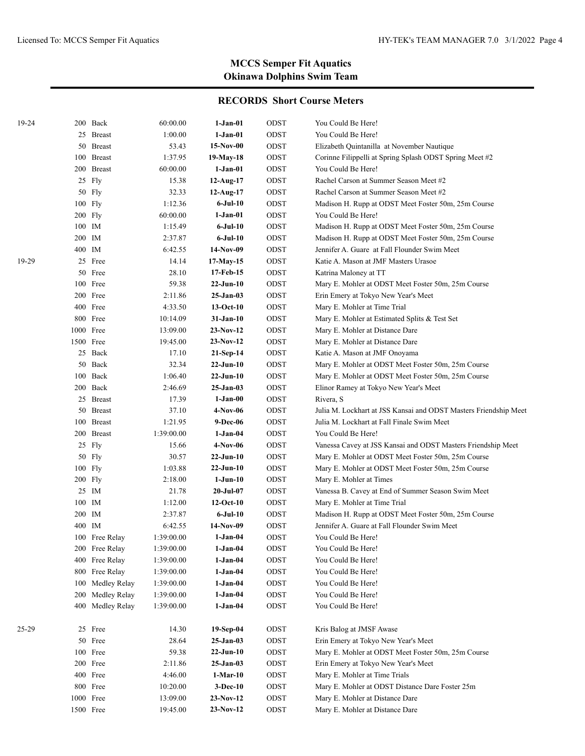| 19-24 |           | 200 Back       | 60:00.00   | 1-Jan-01        | ODST | You Could Be Here!                                               |
|-------|-----------|----------------|------------|-----------------|------|------------------------------------------------------------------|
|       |           | 25 Breast      | 1:00.00    | 1-Jan-01        | ODST | You Could Be Here!                                               |
|       |           | 50 Breast      | 53.43      | $15-Nov-00$     | ODST | Elizabeth Quintanilla at November Nautique                       |
|       |           | 100 Breast     | 1:37.95    | 19-May-18       | ODST | Corinne Filippelli at Spring Splash ODST Spring Meet #2          |
|       |           | 200 Breast     | 60:00.00   | 1-Jan-01        | ODST | You Could Be Here!                                               |
|       |           | 25 Fly         | 15.38      | $12$ -Aug-17    | ODST | Rachel Carson at Summer Season Meet #2                           |
|       |           | $50$ Fly       | 32.33      | $12-Aug-17$     | ODST | Rachel Carson at Summer Season Meet #2                           |
|       |           | $100$ Fly      | 1:12.36    | $6$ -Jul-10     | ODST | Madison H. Rupp at ODST Meet Foster 50m, 25m Course              |
|       |           | $200$ Fly      | 60:00.00   | 1-Jan-01        | ODST | You Could Be Here!                                               |
|       |           | 100 IM         | 1:15.49    | $6$ -Jul-10     | ODST | Madison H. Rupp at ODST Meet Foster 50m, 25m Course              |
|       |           | 200 IM         | 2:37.87    | 6-Jul-10        | ODST | Madison H. Rupp at ODST Meet Foster 50m, 25m Course              |
|       |           | 400 IM         | 6:42.55    | 14-Nov-09       | ODST | Jennifer A. Guare at Fall Flounder Swim Meet                     |
| 19-29 |           | 25 Free        | 14.14      | 17-May-15       | ODST | Katie A. Mason at JMF Masters Urasoe                             |
|       |           | 50 Free        | 28.10      | 17-Feb-15       | ODST | Katrina Maloney at TT                                            |
|       |           | 100 Free       | 59.38      | $22-Jun-10$     | ODST | Mary E. Mohler at ODST Meet Foster 50m, 25m Course               |
|       |           | 200 Free       | 2:11.86    | 25-Jan-03       | ODST | Erin Emery at Tokyo New Year's Meet                              |
|       |           | 400 Free       | 4:33.50    | $13-Oct-10$     | ODST | Mary E. Mohler at Time Trial                                     |
|       |           | 800 Free       | 10:14.09   | 31-Jan-10       | ODST | Mary E. Mohler at Estimated Splits & Test Set                    |
|       |           | 1000 Free      | 13:09.00   | 23-Nov-12       | ODST | Mary E. Mohler at Distance Dare                                  |
|       |           | 1500 Free      | 19:45.00   | 23-Nov-12       | ODST | Mary E. Mohler at Distance Dare                                  |
|       |           | 25 Back        | 17.10      | $21-Sep-14$     | ODST | Katie A. Mason at JMF Onoyama                                    |
|       |           | 50 Back        | 32.34      | $22-Jun-10$     | ODST | Mary E. Mohler at ODST Meet Foster 50m, 25m Course               |
|       |           | 100 Back       | 1:06.40    | $22-Jun-10$     | ODST | Mary E. Mohler at ODST Meet Foster 50m, 25m Course               |
|       |           | 200 Back       | 2:46.69    | $25 - Jan - 03$ | ODST | Elinor Ramey at Tokyo New Year's Meet                            |
|       |           | 25 Breast      | 17.39      | $1-Jan-00$      | ODST | Rivera, S                                                        |
|       |           | 50 Breast      | 37.10      | 4-Nov-06        | ODST | Julia M. Lockhart at JSS Kansai and ODST Masters Friendship Meet |
|       |           | 100 Breast     | 1:21.95    | 9-Dec-06        | ODST | Julia M. Lockhart at Fall Finale Swim Meet                       |
|       |           | 200 Breast     | 1:39:00.00 | $1-Jan-04$      | ODST | You Could Be Here!                                               |
|       |           | 25 Fly         | 15.66      | 4-Nov-06        | ODST | Vanessa Cavey at JSS Kansai and ODST Masters Friendship Meet     |
|       |           | 50 Fly         | 30.57      | $22-Jun-10$     | ODST | Mary E. Mohler at ODST Meet Foster 50m, 25m Course               |
|       |           | $100$ Fly      | 1:03.88    | $22-Jun-10$     | ODST | Mary E. Mohler at ODST Meet Foster 50m, 25m Course               |
|       |           | $200$ Fly      | 2:18.00    | $1-Jun-10$      | ODST | Mary E. Mohler at Times                                          |
|       |           | 25 IM          | 21.78      | $20 - Jul - 07$ | ODST | Vanessa B. Cavey at End of Summer Season Swim Meet               |
|       |           | 100 IM         | 1:12.00    | $12-Oct-10$     | ODST | Mary E. Mohler at Time Trial                                     |
|       |           | 200 IM         | 2:37.87    | 6-Jul-10        | ODST | Madison H. Rupp at ODST Meet Foster 50m, 25m Course              |
|       |           | 400 IM         | 6:42.55    | 14-Nov-09       | ODST | Jennifer A. Guare at Fall Flounder Swim Meet                     |
|       |           | 100 Free Relay | 1:39:00.00 | 1-Jan-04        | ODST | You Could Be Here!                                               |
|       |           | 200 Free Relay | 1:39:00.00 | $1-Jan-04$      | ODST | You Could Be Here!                                               |
|       | 400       | Free Relay     | 1:39:00.00 | $1-Jan-04$      | ODST | You Could Be Here!                                               |
|       | 800       | Free Relay     | 1:39:00.00 | $1-Jan-04$      | ODST | You Could Be Here!                                               |
|       | 100       | Medley Relay   | 1:39:00.00 | 1-Jan-04        | ODST | You Could Be Here!                                               |
|       | 200       | Medley Relay   | 1:39:00.00 | 1-Jan-04        | ODST | You Could Be Here!                                               |
|       |           | Medley Relay   |            | $1-Jan-04$      |      |                                                                  |
|       | 400       |                | 1:39:00.00 |                 | ODST | You Could Be Here!                                               |
| 25-29 |           | 25 Free        | 14.30      | $19-Sep-04$     | ODST | Kris Balog at JMSF Awase                                         |
|       |           | 50 Free        | 28.64      | 25-Jan-03       | ODST | Erin Emery at Tokyo New Year's Meet                              |
|       |           | 100 Free       | 59.38      | $22-Jun-10$     | ODST | Mary E. Mohler at ODST Meet Foster 50m, 25m Course               |
|       |           | 200 Free       | 2:11.86    | $25-Jan-03$     | ODST | Erin Emery at Tokyo New Year's Meet                              |
|       |           | 400 Free       | 4:46.00    | $1-Mar-10$      | ODST | Mary E. Mohler at Time Trials                                    |
|       |           | 800 Free       | 10:20.00   | $3-Dec-10$      | ODST | Mary E. Mohler at ODST Distance Dare Foster 25m                  |
|       |           | 1000 Free      | 13:09.00   | $23-Nov-12$     | ODST | Mary E. Mohler at Distance Dare                                  |
|       | 1500 Free |                | 19:45.00   | $23-Nov-12$     | ODST | Mary E. Mohler at Distance Dare                                  |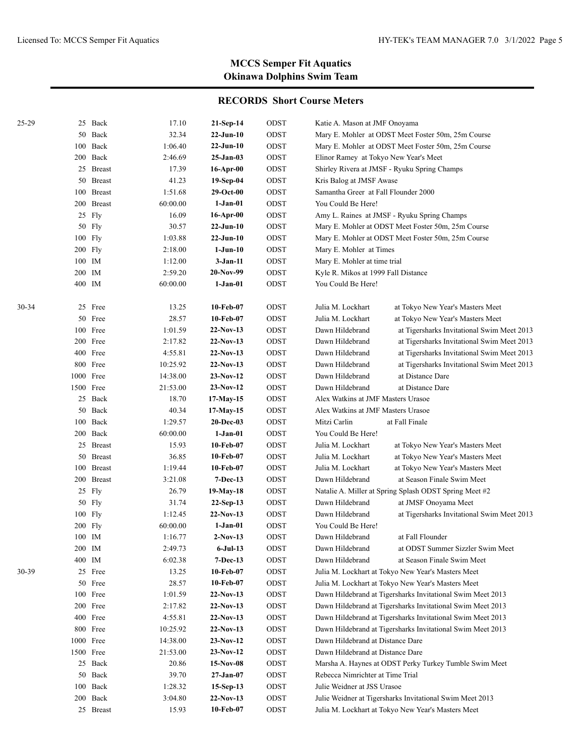| 25-29 |         | 25 Back    | 17.10    | $21-Sep-14$     | ODST | Katie A. Mason at JMF Onoyama         |                                                            |
|-------|---------|------------|----------|-----------------|------|---------------------------------------|------------------------------------------------------------|
|       |         | 50 Back    | 32.34    | $22-Jun-10$     | ODST |                                       | Mary E. Mohler at ODST Meet Foster 50m, 25m Course         |
|       |         | 100 Back   | 1:06.40  | $22-Jun-10$     | ODST |                                       | Mary E. Mohler at ODST Meet Foster 50m, 25m Course         |
|       |         | 200 Back   | 2:46.69  | $25-Jan-03$     | ODST | Elinor Ramey at Tokyo New Year's Meet |                                                            |
|       |         | 25 Breast  | 17.39    | 16-Apr-00       | ODST |                                       | Shirley Rivera at JMSF - Ryuku Spring Champs               |
|       |         | 50 Breast  | 41.23    | 19-Sep-04       | ODST | Kris Balog at JMSF Awase              |                                                            |
|       |         | 100 Breast | 1:51.68  | $29-Oct-00$     | ODST | Samantha Greer at Fall Flounder 2000  |                                                            |
|       |         | 200 Breast | 60:00.00 | $1-Jan-01$      | ODST | You Could Be Here!                    |                                                            |
|       |         | 25 Fly     | 16.09    | 16-Apr-00       | ODST |                                       | Amy L. Raines at JMSF - Ryuku Spring Champs                |
|       |         | 50 Fly     | 30.57    | $22-Jun-10$     | ODST |                                       | Mary E. Mohler at ODST Meet Foster 50m, 25m Course         |
|       |         | 100 Fly    | 1:03.88  | $22-Jun-10$     | ODST |                                       | Mary E. Mohler at ODST Meet Foster 50m, 25m Course         |
|       | 200 Fly |            | 2:18.00  | $1-Jun-10$      | ODST | Mary E. Mohler at Times               |                                                            |
|       | 100 IM  |            | 1:12.00  | 3-Jan-11        | ODST | Mary E. Mohler at time trial          |                                                            |
|       | 200 IM  |            | 2:59.20  | 20-Nov-99       | ODST | Kyle R. Mikos at 1999 Fall Distance   |                                                            |
|       | 400 IM  |            | 60:00.00 | $1-Jan-01$      | ODST | You Could Be Here!                    |                                                            |
| 30-34 |         | 25 Free    | 13.25    | 10-Feb-07       | ODST | Julia M. Lockhart                     | at Tokyo New Year's Masters Meet                           |
|       |         | 50 Free    | 28.57    | 10-Feb-07       | ODST | Julia M. Lockhart                     | at Tokyo New Year's Masters Meet                           |
|       |         | 100 Free   | 1:01.59  | $22-Nov-13$     | ODST | Dawn Hildebrand                       | at Tigersharks Invitational Swim Meet 2013                 |
|       |         | 200 Free   | 2:17.82  | $22-Nov-13$     | ODST | Dawn Hildebrand                       | at Tigersharks Invitational Swim Meet 2013                 |
|       |         | 400 Free   | 4:55.81  | $22-Nov-13$     | ODST | Dawn Hildebrand                       | at Tigersharks Invitational Swim Meet 2013                 |
|       |         | 800 Free   | 10:25.92 | $22-Nov-13$     | ODST | Dawn Hildebrand                       | at Tigersharks Invitational Swim Meet 2013                 |
|       |         | 1000 Free  | 14:38.00 | $23-Nov-12$     | ODST | Dawn Hildebrand                       | at Distance Dare                                           |
|       |         | 1500 Free  | 21:53.00 | $23-Nov-12$     | ODST | Dawn Hildebrand                       | at Distance Dare                                           |
|       |         | 25 Back    | 18.70    | $17-May-15$     | ODST | Alex Watkins at JMF Masters Urasoe    |                                                            |
|       |         | 50 Back    | 40.34    | $17-May-15$     | ODST | Alex Watkins at JMF Masters Urasoe    |                                                            |
|       |         | 100 Back   | 1:29.57  | 20-Dec-03       | ODST | Mitzi Carlin                          | at Fall Finale                                             |
|       |         | 200 Back   | 60:00.00 | 1-Jan-01        | ODST | You Could Be Here!                    |                                                            |
|       |         | 25 Breast  | 15.93    | 10-Feb-07       | ODST | Julia M. Lockhart                     | at Tokyo New Year's Masters Meet                           |
|       |         | 50 Breast  | 36.85    | 10-Feb-07       | ODST | Julia M. Lockhart                     | at Tokyo New Year's Masters Meet                           |
|       |         | 100 Breast | 1:19.44  | 10-Feb-07       | ODST | Julia M. Lockhart                     | at Tokyo New Year's Masters Meet                           |
|       |         | 200 Breast | 3:21.08  | 7-Dec-13        | ODST | Dawn Hildebrand                       | at Season Finale Swim Meet                                 |
|       |         | 25 Fly     | 26.79    | 19-May-18       | ODST |                                       | Natalie A. Miller at Spring Splash ODST Spring Meet #2     |
|       |         | 50 Fly     | 31.74    | $22-Sep-13$     | ODST | Dawn Hildebrand                       | at JMSF Onoyama Meet                                       |
|       |         | 100 Fly    | 1:12.45  | $22-Nov-13$     | ODST | Dawn Hildebrand                       | at Tigersharks Invitational Swim Meet 2013                 |
|       | 200 Fly |            | 60:00.00 | $1-Jan-01$      | ODST | You Could Be Here!                    |                                                            |
|       | 100 IM  |            | 1:16.77  | 2-Nov-13        | ODST | Dawn Hildebrand                       | at Fall Flounder                                           |
|       | 200 IM  |            | 2:49.73  | 6-Jul-13        | ODST | Dawn Hildebrand                       | at ODST Summer Sizzler Swim Meet                           |
|       | 400 IM  |            | 6:02.38  | <b>7-Dec-13</b> | ODST | Dawn Hildebrand                       | at Season Finale Swim Meet                                 |
| 30-39 |         | 25 Free    | 13.25    | 10-Feb-07       | ODST |                                       | Julia M. Lockhart at Tokyo New Year's Masters Meet         |
|       |         | 50 Free    | 28.57    | 10-Feb-07       | ODST |                                       | Julia M. Lockhart at Tokyo New Year's Masters Meet         |
|       |         | 100 Free   | 1:01.59  | $22-Nov-13$     | ODST |                                       | Dawn Hildebrand at Tigersharks Invitational Swim Meet 2013 |
|       |         | 200 Free   | 2:17.82  | $22-Nov-13$     | ODST |                                       | Dawn Hildebrand at Tigersharks Invitational Swim Meet 2013 |
|       |         | 400 Free   | 4:55.81  | $22-Nov-13$     | ODST |                                       | Dawn Hildebrand at Tigersharks Invitational Swim Meet 2013 |
|       |         | 800 Free   | 10:25.92 | $22-Nov-13$     | ODST |                                       | Dawn Hildebrand at Tigersharks Invitational Swim Meet 2013 |
|       |         | 1000 Free  | 14:38.00 | $23-Nov-12$     | ODST | Dawn Hildebrand at Distance Dare      |                                                            |
|       |         | 1500 Free  | 21:53.00 | $23-Nov-12$     | ODST | Dawn Hildebrand at Distance Dare      |                                                            |
|       |         | 25 Back    | 20.86    | $15-Nov-08$     | ODST |                                       | Marsha A. Haynes at ODST Perky Turkey Tumble Swim Meet     |
|       |         | 50 Back    | 39.70    | $27 - Jan-07$   | ODST | Rebecca Nimrichter at Time Trial      |                                                            |
|       |         | 100 Back   | 1:28.32  | $15-Sep-13$     | ODST | Julie Weidner at JSS Urasoe           |                                                            |
|       |         | 200 Back   | 3:04.80  | $22-Nov-13$     | ODST |                                       | Julie Weidner at Tigersharks Invitational Swim Meet 2013   |
|       |         | 25 Breast  | 15.93    | 10-Feb-07       | ODST |                                       | Julia M. Lockhart at Tokyo New Year's Masters Meet         |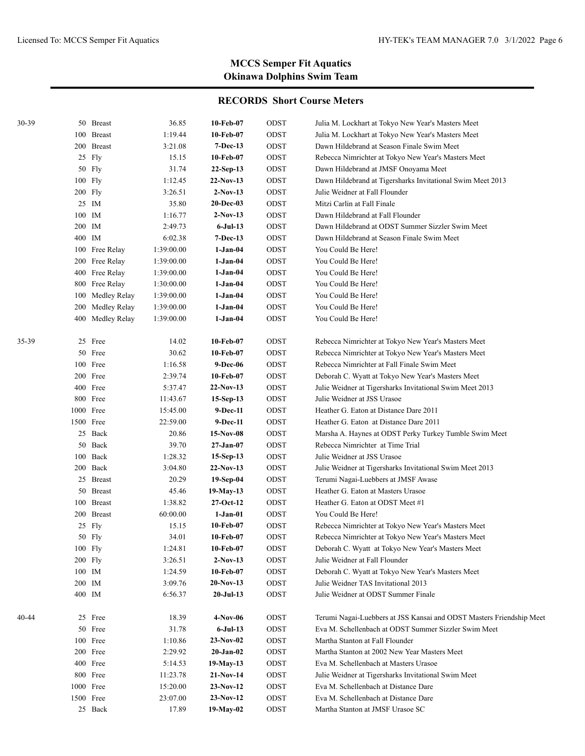| 30-39 |        | 50 Breast        | 36.85      | 10-Feb-07       | ODST        | Julia M. Lockhart at Tokyo New Year's Masters Meet                   |
|-------|--------|------------------|------------|-----------------|-------------|----------------------------------------------------------------------|
|       |        | 100 Breast       | 1:19.44    | 10-Feb-07       | ODST        | Julia M. Lockhart at Tokyo New Year's Masters Meet                   |
|       |        | 200 Breast       | 3:21.08    | $7-Dec-13$      | ODST        | Dawn Hildebrand at Season Finale Swim Meet                           |
|       |        | 25 Fly           | 15.15      | 10-Feb-07       | ODST        | Rebecca Nimrichter at Tokyo New Year's Masters Meet                  |
|       |        | 50 Fly           | 31.74      | $22-Sep-13$     | ODST        | Dawn Hildebrand at JMSF Onoyama Meet                                 |
|       |        | 100 Fly          | 1:12.45    | 22-Nov-13       | ODST        | Dawn Hildebrand at Tigersharks Invitational Swim Meet 2013           |
|       |        | 200 Fly          | 3:26.51    | $2-Nov-13$      | ODST        | Julie Weidner at Fall Flounder                                       |
|       |        | 25 IM            | 35.80      | 20-Dec-03       | ODST        | Mitzi Carlin at Fall Finale                                          |
|       | 100 IM |                  | 1:16.77    | $2-Nov-13$      | ODST        | Dawn Hildebrand at Fall Flounder                                     |
|       | 200 IM |                  | 2:49.73    | $6-Jul-13$      | ODST        | Dawn Hildebrand at ODST Summer Sizzler Swim Meet                     |
|       | 400 IM |                  | 6:02.38    | $7-Dec-13$      | ODST        | Dawn Hildebrand at Season Finale Swim Meet                           |
|       |        | 100 Free Relay   | 1:39:00.00 | 1-Jan-04        | ODST        | You Could Be Here!                                                   |
|       |        | 200 Free Relay   | 1:39:00.00 | $1-Jan-04$      | ODST        | You Could Be Here!                                                   |
|       |        | 400 Free Relay   | 1:39:00.00 | $1-Jan-04$      | ODST        | You Could Be Here!                                                   |
|       |        | 800 Free Relay   | 1:30:00.00 | $1-Jan-04$      | ODST        | You Could Be Here!                                                   |
|       |        | 100 Medley Relay | 1:39:00.00 | $1-Jan-04$      | ODST        | You Could Be Here!                                                   |
|       | 200    | Medley Relay     | 1:39:00.00 | $1-Jan-04$      | ODST        | You Could Be Here!                                                   |
|       |        | 400 Medley Relay | 1:39:00.00 | $1-Jan-04$      | ODST        | You Could Be Here!                                                   |
| 35-39 |        | 25 Free          | 14.02      | 10-Feb-07       | ODST        | Rebecca Nimrichter at Tokyo New Year's Masters Meet                  |
|       |        | 50 Free          | 30.62      | 10-Feb-07       | ODST        | Rebecca Nimrichter at Tokyo New Year's Masters Meet                  |
|       |        | 100 Free         | 1:16.58    | 9-Dec-06        | ODST        | Rebecca Nimrichter at Fall Finale Swim Meet                          |
|       |        | 200 Free         | 2:39.74    | 10-Feb-07       | ODST        | Deborah C. Wyatt at Tokyo New Year's Masters Meet                    |
|       |        | 400 Free         | 5:37.47    | $22-Nov-13$     | ODST        | Julie Weidner at Tigersharks Invitational Swim Meet 2013             |
|       |        | 800 Free         | 11:43.67   | $15-Sep-13$     | ODST        | Julie Weidner at JSS Urasoe                                          |
|       |        | 1000 Free        | 15:45.00   | 9-Dec-11        | ODST        | Heather G. Eaton at Distance Dare 2011                               |
|       |        | 1500 Free        | 22:59.00   | 9-Dec-11        | ODST        | Heather G. Eaton at Distance Dare 2011                               |
|       |        | 25 Back          | 20.86      | $15-Nov-08$     | ODST        | Marsha A. Haynes at ODST Perky Turkey Tumble Swim Meet               |
|       |        | 50 Back          | 39.70      | 27-Jan-07       | ODST        | Rebecca Nimrichter at Time Trial                                     |
|       |        | 100 Back         | 1:28.32    | $15-Sep-13$     | ODST        | Julie Weidner at JSS Urasoe                                          |
|       |        | 200 Back         | 3:04.80    | $22-Nov-13$     | ODST        | Julie Weidner at Tigersharks Invitational Swim Meet 2013             |
|       |        | 25 Breast        | 20.29      | 19-Sep-04       | ODST        | Terumi Nagai-Luebbers at JMSF Awase                                  |
|       |        | 50 Breast        | 45.46      | 19-May-13       | ODST        | Heather G. Eaton at Masters Urasoe                                   |
|       |        | 100 Breast       | 1:38.82    | $27-Oct-12$     | ODST        | Heather G. Eaton at ODST Meet #1                                     |
|       |        | 200 Breast       | 60:00.00   | $1-Jan-01$      | ODST        | You Could Be Here!                                                   |
|       |        | 25 Fly           | 15.15      | 10-Feb-07       | ODST        | Rebecca Nimrichter at Tokyo New Year's Masters Meet                  |
|       |        | 50 Fly           | 34.01      | 10-Feb-07       | ODST        | Rebecca Nimrichter at Tokyo New Year's Masters Meet                  |
|       |        | 100 Fly          | 1:24.81    | 10-Feb-07       | ODST        | Deborah C. Wyatt at Tokyo New Year's Masters Meet                    |
|       |        | 200 Fly          | 3:26.51    | $2-Nov-13$      | ODST        | Julie Weidner at Fall Flounder                                       |
|       | 100 IM |                  | 1:24.59    | 10-Feb-07       | ODST        | Deborah C. Wyatt at Tokyo New Year's Masters Meet                    |
|       | 200 IM |                  | 3:09.76    | $20-Nov-13$     | ODST        | Julie Weidner TAS Invitational 2013                                  |
|       | 400 IM |                  | 6:56.37    | $20-Jul-13$     | ODST        | Julie Weidner at ODST Summer Finale                                  |
| 40-44 |        | 25 Free          | 18.39      | 4-Nov-06        | ODST        | Terumi Nagai-Luebbers at JSS Kansai and ODST Masters Friendship Meet |
|       |        | 50 Free          | 31.78      | $6-Jul-13$      | ODST        | Eva M. Schellenbach at ODST Summer Sizzler Swim Meet                 |
|       |        | 100 Free         | 1:10.86    | $23-Nov-02$     | ODST        | Martha Stanton at Fall Flounder                                      |
|       |        | 200 Free         | 2:29.92    | $20 - Jan - 02$ | ODST        | Martha Stanton at 2002 New Year Masters Meet                         |
|       |        | 400 Free         | 5:14.53    | 19-May-13       | ODST        | Eva M. Schellenbach at Masters Urasoe                                |
|       |        | 800 Free         | 11:23.78   | 21-Nov-14       | ODST        | Julie Weidner at Tigersharks Invitational Swim Meet                  |
|       |        | 1000 Free        |            |                 |             | Eva M. Schellenbach at Distance Dare                                 |
|       |        |                  | 15:20.00   | $23-Nov-12$     | ODST        |                                                                      |
|       |        | 1500 Free        | 23:07.00   | $23-Nov-12$     | ODST        | Eva M. Schellenbach at Distance Dare                                 |
|       |        | 25 Back          | 17.89      | 19-May-02       | $\rm{ODST}$ | Martha Stanton at JMSF Urasoe SC                                     |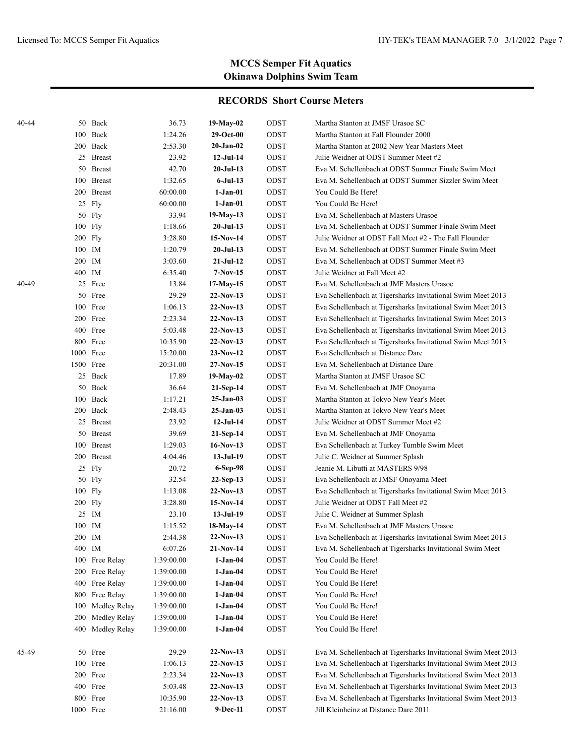| 40-44 |           | 50 Back        | 36.73      | 19-May-02       | ODST        | Martha Stanton at JMSF Urasoe SC                               |
|-------|-----------|----------------|------------|-----------------|-------------|----------------------------------------------------------------|
|       | 100       | Back           | 1:24.26    | $29-Oct-00$     | ODST        | Martha Stanton at Fall Flounder 2000                           |
|       | 200       | Back           | 2:53.30    | $20$ -Jan- $02$ | ODST        | Martha Stanton at 2002 New Year Masters Meet                   |
|       |           | 25 Breast      | 23.92      | $12-Jul-14$     | ODST        | Julie Weidner at ODST Summer Meet #2                           |
|       | 50        | <b>Breast</b>  | 42.70      | $20-Jul-13$     | ODST        | Eva M. Schellenbach at ODST Summer Finale Swim Meet            |
|       | 100       | <b>Breast</b>  | 1:32.65    | $6-Jul-13$      | ODST        | Eva M. Schellenbach at ODST Summer Sizzler Swim Meet           |
|       | 200       | <b>Breast</b>  | 60:00.00   | 1-Jan-01        | ODST        | You Could Be Here!                                             |
|       |           | 25 Fly         | 60:00.00   | 1-Jan-01        | ODST        | You Could Be Here!                                             |
|       |           | 50 Fly         | 33.94      | 19-May-13       | ODST        | Eva M. Schellenbach at Masters Urasoe                          |
|       | 100       | Fly            | 1:18.66    | $20-Jul-13$     | ODST        | Eva M. Schellenbach at ODST Summer Finale Swim Meet            |
|       | 200 Fly   |                | 3:28.80    | 15-Nov-14       | ODST        | Julie Weidner at ODST Fall Meet #2 - The Fall Flounder         |
|       | 100 IM    |                | 1:20.79    | $20$ -Jul-13    | ODST        | Eva M. Schellenbach at ODST Summer Finale Swim Meet            |
|       | 200 IM    |                | 3:03.60    | $21-Jul-12$     | ODST        | Eva M. Schellenbach at ODST Summer Meet #3                     |
|       | 400 IM    |                | 6:35.40    | $7-Nov-15$      | ODST        | Julie Weidner at Fall Meet #2                                  |
| 40-49 |           | 25 Free        | 13.84      | $17-May-15$     | ODST        | Eva M. Schellenbach at JMF Masters Urasoe                      |
|       | 50        | Free           | 29.29      | $22-Nov-13$     | ODST        | Eva Schellenbach at Tigersharks Invitational Swim Meet 2013    |
|       |           | 100 Free       | 1:06.13    | $22-Nov-13$     | ODST        | Eva Schellenbach at Tigersharks Invitational Swim Meet 2013    |
|       |           | 200 Free       | 2:23.34    | $22-Nov-13$     | ODST        | Eva Schellenbach at Tigersharks Invitational Swim Meet 2013    |
|       |           | 400 Free       | 5:03.48    | $22-Nov-13$     | ODST        | Eva Schellenbach at Tigersharks Invitational Swim Meet 2013    |
|       |           | 800 Free       | 10:35.90   | 22-Nov-13       | ODST        | Eva Schellenbach at Tigersharks Invitational Swim Meet 2013    |
|       | 1000 Free |                | 15:20.00   | $23-Nov-12$     | ODST        | Eva Schellenbach at Distance Dare                              |
|       | 1500 Free |                | 20:31.00   | $27-Nov-15$     | ODST        | Eva M. Schellenbach at Distance Dare                           |
|       |           | 25 Back        | 17.89      | 19-May-02       | ODST        | Martha Stanton at JMSF Urasoe SC                               |
|       | 50        | Back           | 36.64      | 21-Sep-14       | ODST        | Eva M. Schellenbach at JMF Onoyama                             |
|       | 100       | Back           | 1:17.21    | 25-Jan-03       | ODST        | Martha Stanton at Tokyo New Year's Meet                        |
|       | 200       | Back           | 2:48.43    | 25-Jan-03       | ODST        | Martha Stanton at Tokyo New Year's Meet                        |
|       | 25        | <b>Breast</b>  | 23.92      | $12-Jul-14$     | ODST        | Julie Weidner at ODST Summer Meet #2                           |
|       | 50        | <b>Breast</b>  | 39.69      | 21-Sep-14       | ODST        | Eva M. Schellenbach at JMF Onoyama                             |
|       | 100       | <b>Breast</b>  | 1:29.03    | 16-Nov-13       | ODST        | Eva Schellenbach at Turkey Tumble Swim Meet                    |
|       | 200       | <b>Breast</b>  | 4:04.46    | 13-Jul-19       | ODST        | Julie C. Weidner at Summer Splash                              |
|       | 25        | Fly            | 20.72      | 6-Sep-98        | ODST        | Jeanie M. Libutti at MASTERS 9/98                              |
|       | 50        | Fly            | 32.54      | 22-Sep-13       | ODST        | Eva Schellenbach at JMSF Onoyama Meet                          |
|       | 100 Fly   |                | 1:13.08    | $22-Nov-13$     | ODST        | Eva Schellenbach at Tigersharks Invitational Swim Meet 2013    |
|       | 200 Fly   |                | 3:28.80    | 15-Nov-14       | ODST        | Julie Weidner at ODST Fall Meet #2                             |
|       | 25        | IM             | 23.10      | $13-Jul-19$     | ODST        | Julie C. Weidner at Summer Splash                              |
|       | 100       | IM             | 1:15.52    | 18-May-14       | ODST        | Eva M. Schellenbach at JMF Masters Urasoe                      |
|       | 200 IM    |                | 2:44.38    | 22-Nov-13       | ODST        | Eva Schellenbach at Tigersharks Invitational Swim Meet 2013    |
|       | 400 IM    |                | 6:07.26    | 21-Nov-14       | ODST        | Eva M. Schellenbach at Tigersharks Invitational Swim Meet      |
|       |           | 100 Free Relay | 1:39:00.00 | $1-Jan-04$      | ODST        | You Could Be Here!                                             |
|       | 200       | Free Relay     | 1:39:00.00 | $1-Jan-04$      | ODST        | You Could Be Here!                                             |
|       | 400       | Free Relay     | 1:39:00.00 | $1-Jan-04$      | ODST        | You Could Be Here!                                             |
|       | 800       | Free Relay     | 1:39:00.00 | $1-Jan-04$      | ODST        | You Could Be Here!                                             |
|       | 100       | Medley Relay   | 1:39:00.00 | 1-Jan-04        | ODST        | You Could Be Here!                                             |
|       | 200       | Medley Relay   | 1:39:00.00 | 1-Jan-04        | ODST        | You Could Be Here!                                             |
|       | 400       | Medley Relay   | 1:39:00.00 | $1-Jan-04$      | ODST        | You Could Be Here!                                             |
| 45-49 |           | 50 Free        | 29.29      | $22-Nov-13$     | ODST        | Eva M. Schellenbach at Tigersharks Invitational Swim Meet 2013 |
|       |           | 100 Free       | 1:06.13    | $22-Nov-13$     | ODST        | Eva M. Schellenbach at Tigersharks Invitational Swim Meet 2013 |
|       |           | 200 Free       | 2:23.34    | 22-Nov-13       | ODST        | Eva M. Schellenbach at Tigersharks Invitational Swim Meet 2013 |
|       |           | 400 Free       | 5:03.48    | 22-Nov-13       | ODST        | Eva M. Schellenbach at Tigersharks Invitational Swim Meet 2013 |
|       |           | 800 Free       | 10:35.90   | $22-Nov-13$     | $\rm{ODST}$ | Eva M. Schellenbach at Tigersharks Invitational Swim Meet 2013 |
|       | 1000 Free |                | 21:16.00   | 9-Dec-11        | ODST        | Jill Kleinheinz at Distance Dare 2011                          |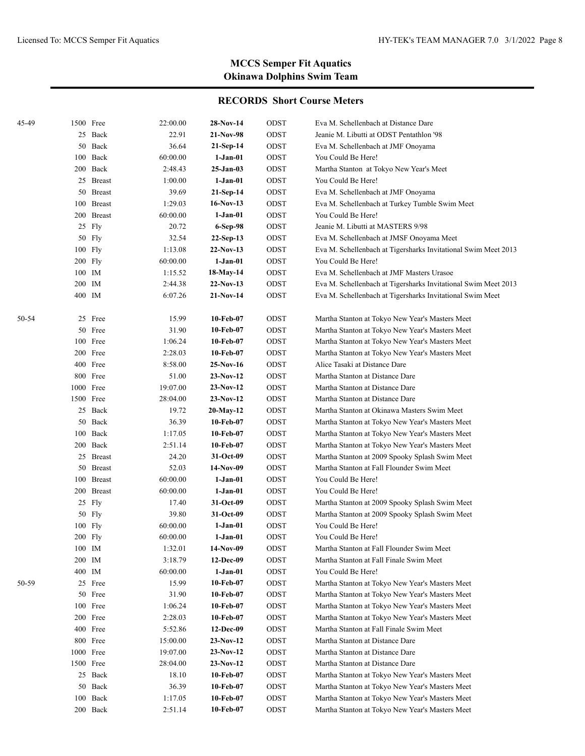| 45-49 |        | 1500 Free          | 22:00.00          | 28-Nov-14             | ODST         | Eva M. Schellenbach at Distance Dare                                 |
|-------|--------|--------------------|-------------------|-----------------------|--------------|----------------------------------------------------------------------|
|       |        | 25 Back            | 22.91             | 21-Nov-98             | ODST         | Jeanie M. Libutti at ODST Pentathlon '98                             |
|       |        | 50 Back            | 36.64             | 21-Sep-14             | ODST         | Eva M. Schellenbach at JMF Onoyama                                   |
|       |        | 100 Back           | 60:00.00          | $1-Jan-01$            | ODST         | You Could Be Here!                                                   |
|       |        | 200 Back           | 2:48.43           | $25-Jan-03$           | ODST         | Martha Stanton at Tokyo New Year's Meet                              |
|       |        | 25 Breast          | 1:00.00           | $1-Jan-01$            | ODST         | You Could Be Here!                                                   |
|       |        | 50 Breast          | 39.69             | 21-Sep-14             | ODST         | Eva M. Schellenbach at JMF Onoyama                                   |
|       |        | 100 Breast         | 1:29.03           | 16-Nov-13             | ODST         | Eva M. Schellenbach at Turkey Tumble Swim Meet                       |
|       |        | 200 Breast         | 60:00.00          | $1-Jan-01$            | ODST         | You Could Be Here!                                                   |
|       |        | 25 Fly             | 20.72             | 6-Sep-98              | ODST         | Jeanie M. Libutti at MASTERS 9/98                                    |
|       |        | 50 Fly             | 32.54             | $22-Sep-13$           | ODST         | Eva M. Schellenbach at JMSF Onoyama Meet                             |
|       |        | 100 Fly            | 1:13.08           | $22-Nov-13$           | ODST         | Eva M. Schellenbach at Tigersharks Invitational Swim Meet 2013       |
|       |        | 200 Fly            | 60:00.00          | 1-Jan-01              | ODST         | You Could Be Here!                                                   |
|       |        | 100 IM             | 1:15.52           | 18-May-14             | ODST         | Eva M. Schellenbach at JMF Masters Urasoe                            |
|       | 200 IM |                    | 2:44.38           | $22-Nov-13$           | ODST         | Eva M. Schellenbach at Tigersharks Invitational Swim Meet 2013       |
|       | 400 IM |                    | 6:07.26           | $21-Nov-14$           | ODST         | Eva M. Schellenbach at Tigersharks Invitational Swim Meet            |
|       |        |                    |                   |                       |              |                                                                      |
| 50-54 |        | 25 Free            | 15.99             | 10-Feb-07             | ODST         | Martha Stanton at Tokyo New Year's Masters Meet                      |
|       |        | 50 Free            | 31.90             | 10-Feb-07             | ODST         | Martha Stanton at Tokyo New Year's Masters Meet                      |
|       |        | 100 Free           | 1:06.24           | 10-Feb-07             | ODST         | Martha Stanton at Tokyo New Year's Masters Meet                      |
|       |        | 200 Free           | 2:28.03           | 10-Feb-07             | ODST         | Martha Stanton at Tokyo New Year's Masters Meet                      |
|       |        | 400 Free           | 8:58.00           | $25-Nov-16$           | ODST         | Alice Tasaki at Distance Dare                                        |
|       |        | 800 Free           | 51.00             | $23-Nov-12$           | ODST         | Martha Stanton at Distance Dare                                      |
|       |        | 1000 Free          | 19:07.00          | $23-Nov-12$           | ODST         | Martha Stanton at Distance Dare                                      |
|       |        | 1500 Free          | 28:04.00          | $23-Nov-12$           | ODST         | Martha Stanton at Distance Dare                                      |
|       |        | 25 Back            | 19.72             | 20-May-12             | ODST         | Martha Stanton at Okinawa Masters Swim Meet                          |
|       |        | 50 Back            | 36.39             | 10-Feb-07             | ODST         | Martha Stanton at Tokyo New Year's Masters Meet                      |
|       |        | 100 Back           | 1:17.05           | 10-Feb-07             | ODST         | Martha Stanton at Tokyo New Year's Masters Meet                      |
|       |        | 200 Back           | 2:51.14           | 10-Feb-07             | ODST         | Martha Stanton at Tokyo New Year's Masters Meet                      |
|       |        | 25 Breast          | 24.20             | 31-Oct-09             | ODST         | Martha Stanton at 2009 Spooky Splash Swim Meet                       |
|       |        | 50 Breast          | 52.03             | 14-Nov-09             | ODST<br>ODST | Martha Stanton at Fall Flounder Swim Meet                            |
|       |        | 100 Breast         | 60:00.00          | 1-Jan-01              |              | You Could Be Here!                                                   |
|       |        | 200 Breast         | 60:00.00          | $1-Jan-01$            | ODST         | You Could Be Here!                                                   |
|       |        | 25 Fly             | 17.40             | 31-Oct-09             | ODST         | Martha Stanton at 2009 Spooky Splash Swim Meet                       |
|       |        | 50 Fly             | 39.80<br>60:00.00 | 31-Oct-09<br>1-Jan-01 | ODST<br>ODST | Martha Stanton at 2009 Spooky Splash Swim Meet<br>You Could Be Here! |
|       |        | 100 Fly<br>200 Fly | 60:00.00          | $1-Jan-01$            | ODST         | You Could Be Here!                                                   |
|       |        | $100\;\;$ IM       | 1:32.01           | 14-Nov-09             | $\rm{ODST}$  | Martha Stanton at Fall Flounder Swim Meet                            |
|       |        | 200 IM             | 3:18.79           | 12-Dec-09             | ODST         | Martha Stanton at Fall Finale Swim Meet                              |
|       |        | 400 IM             | 60:00.00          | 1-Jan-01              | ODST         | You Could Be Here!                                                   |
| 50-59 |        | 25 Free            | 15.99             | 10-Feb-07             | ODST         | Martha Stanton at Tokyo New Year's Masters Meet                      |
|       |        | 50 Free            | 31.90             | 10-Feb-07             | ODST         | Martha Stanton at Tokyo New Year's Masters Meet                      |
|       |        | 100 Free           | 1:06.24           | 10-Feb-07             | ODST         | Martha Stanton at Tokyo New Year's Masters Meet                      |
|       |        | 200 Free           | 2:28.03           | 10-Feb-07             | ODST         | Martha Stanton at Tokyo New Year's Masters Meet                      |
|       |        | 400 Free           | 5:52.86           | $12-Dec-09$           | ODST         | Martha Stanton at Fall Finale Swim Meet                              |
|       |        | 800 Free           | 15:00.00          | $23-Nov-12$           | ODST         | Martha Stanton at Distance Dare                                      |
|       |        | 1000 Free          | 19:07.00          | $23-Nov-12$           | ODST         | Martha Stanton at Distance Dare                                      |
|       |        | 1500 Free          | 28:04.00          | $23-Nov-12$           | ODST         | Martha Stanton at Distance Dare                                      |
|       |        | 25 Back            | 18.10             | 10-Feb-07             | ODST         | Martha Stanton at Tokyo New Year's Masters Meet                      |
|       |        | 50 Back            | 36.39             | 10-Feb-07             | ODST         | Martha Stanton at Tokyo New Year's Masters Meet                      |
|       |        | 100 Back           | 1:17.05           | 10-Feb-07             | ODST         | Martha Stanton at Tokyo New Year's Masters Meet                      |
|       |        | 200 Back           | 2:51.14           | 10-Feb-07             | ODST         | Martha Stanton at Tokyo New Year's Masters Meet                      |
|       |        |                    |                   |                       |              |                                                                      |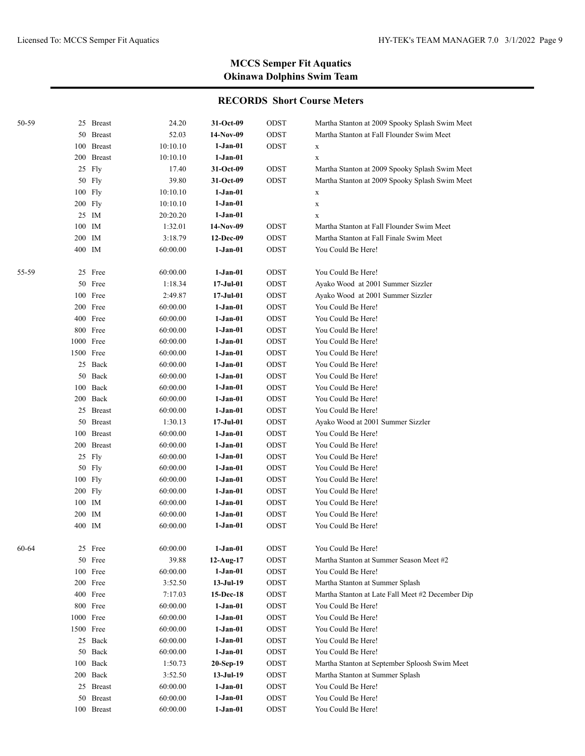| 50-59 | 25 Breast     | 24.20    | 31-Oct-09        | ODST | Martha Stanton at 2009 Spooky Splash Swim Meet   |
|-------|---------------|----------|------------------|------|--------------------------------------------------|
|       | 50 Breast     | 52.03    | 14-Nov-09        | ODST | Martha Stanton at Fall Flounder Swim Meet        |
|       | 100 Breast    | 10:10.10 | $1-Jan-01$       | ODST | $\mathbf X$                                      |
|       | 200 Breast    | 10:10.10 | 1-Jan-01         |      | $\mathbf X$                                      |
|       | 25 Fly        | 17.40    | 31-Oct-09        | ODST | Martha Stanton at 2009 Spooky Splash Swim Meet   |
|       | 50 Fly        | 39.80    | 31-Oct-09        | ODST | Martha Stanton at 2009 Spooky Splash Swim Meet   |
|       | 100 Fly       | 10:10.10 | $1-Jan-01$       |      | X                                                |
|       | 200 Fly       | 10:10.10 | $1-Jan-01$       |      | $\mathbf X$                                      |
|       | 25 IM         | 20:20.20 | $1-Jan-01$       |      | X                                                |
|       | 100 IM        | 1:32.01  | 14-Nov-09        | ODST | Martha Stanton at Fall Flounder Swim Meet        |
|       | 200 IM        | 3:18.79  | 12-Dec-09        | ODST | Martha Stanton at Fall Finale Swim Meet          |
|       | 400 IM        | 60:00.00 | 1-Jan-01         | ODST | You Could Be Here!                               |
| 55-59 | 25 Free       | 60:00.00 | $1-Jan-01$       | ODST | You Could Be Here!                               |
|       | 50 Free       | 1:18.34  | $17 -$ Jul $-01$ | ODST | Ayako Wood at 2001 Summer Sizzler                |
|       | 100 Free      | 2:49.87  | 17-Jul-01        | ODST | Ayako Wood at 2001 Summer Sizzler                |
|       | 200 Free      | 60:00.00 | $1-Jan-01$       | ODST | You Could Be Here!                               |
|       | 400 Free      | 60:00.00 | $1-Jan-01$       | ODST | You Could Be Here!                               |
|       | 800 Free      | 60:00.00 | $1-Jan-01$       | ODST | You Could Be Here!                               |
|       | 1000 Free     | 60:00.00 | $1-Jan-01$       | ODST | You Could Be Here!                               |
|       | 1500 Free     | 60:00.00 | $1-Jan-01$       | ODST | You Could Be Here!                               |
|       | 25 Back       | 60:00.00 | $1-Jan-01$       | ODST | You Could Be Here!                               |
|       | 50 Back       | 60:00.00 | $1-Jan-01$       | ODST | You Could Be Here!                               |
|       | 100 Back      | 60:00.00 | $1-Jan-01$       | ODST | You Could Be Here!                               |
|       | 200 Back      | 60:00.00 | $1-Jan-01$       | ODST | You Could Be Here!                               |
|       | 25 Breast     | 60:00.00 | $1-Jan-01$       | ODST | You Could Be Here!                               |
|       | 50 Breast     | 1:30.13  | $17 -$ Jul $-01$ | ODST | Ayako Wood at 2001 Summer Sizzler                |
|       | 100 Breast    | 60:00.00 | $1-Jan-01$       | ODST | You Could Be Here!                               |
|       | 200 Breast    | 60:00.00 | $1-Jan-01$       | ODST | You Could Be Here!                               |
|       | 25 Fly        | 60:00.00 | $1-Jan-01$       | ODST | You Could Be Here!                               |
|       | 50 Fly        | 60:00.00 | $1-Jan-01$       | ODST | You Could Be Here!                               |
|       | 100 Fly       | 60:00.00 | $1-Jan-01$       | ODST | You Could Be Here!                               |
|       | 200 Fly       | 60:00.00 | $1-Jan-01$       | ODST | You Could Be Here!                               |
|       | 100 IM        | 60:00.00 | $1-Jan-01$       | ODST | You Could Be Here!                               |
|       | 200 IM        | 60:00.00 | $1-Jan-01$       | ODST | You Could Be Here!                               |
|       | 400 IM        | 60:00.00 | $1-Jan-01$       | ODST | You Could Be Here!                               |
| 60-64 | 25 Free       | 60:00.00 | $1-Jan-01$       | ODST | You Could Be Here!                               |
|       | 50 Free       | 39.88    | 12-Aug-17        | ODST | Martha Stanton at Summer Season Meet #2          |
|       | 100 Free      | 60:00.00 | $1-Jan-01$       | ODST | You Could Be Here!                               |
|       | 200 Free      | 3:52.50  | $13-Jul-19$      | ODST | Martha Stanton at Summer Splash                  |
|       | 400 Free      | 7:17.03  | 15-Dec-18        | ODST | Martha Stanton at Late Fall Meet #2 December Dip |
|       | 800 Free      | 60:00.00 | $1-Jan-01$       | ODST | You Could Be Here!                               |
|       | 1000 Free     | 60:00.00 | $1-Jan-01$       | ODST | You Could Be Here!                               |
|       | 1500 Free     | 60:00.00 | $1-Jan-01$       | ODST | You Could Be Here!                               |
|       | 25 Back       | 60:00.00 | $1-Jan-01$       | ODST | You Could Be Here!                               |
|       | 50 Back       | 60:00.00 | $1-Jan-01$       | ODST | You Could Be Here!                               |
|       | 100 Back      | 1:50.73  | 20-Sep-19        | ODST | Martha Stanton at September Sploosh Swim Meet    |
|       | 200 Back      | 3:52.50  | $13-Jul-19$      | ODST | Martha Stanton at Summer Splash                  |
|       | 25 Breast     | 60:00.00 | $1-Jan-01$       | ODST | You Could Be Here!                               |
| 50    | <b>Breast</b> | 60:00.00 | $1-Jan-01$       | ODST | You Could Be Here!                               |
|       | 100 Breast    | 60:00.00 | 1-Jan-01         | ODST | You Could Be Here!                               |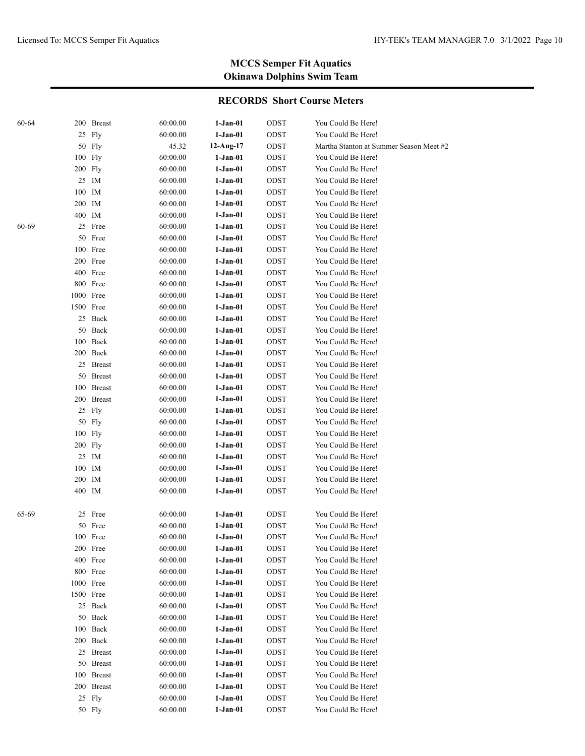| 60-64 |           | 200 Breast    | 60:00.00 | $1-Jan-01$  | ODST        | You Could Be Here!                      |
|-------|-----------|---------------|----------|-------------|-------------|-----------------------------------------|
|       |           | 25 Fly        | 60:00.00 | $1-Jan-01$  | ODST        | You Could Be Here!                      |
|       |           | 50 Fly        | 45.32    | $12-Aug-17$ | ODST        | Martha Stanton at Summer Season Meet #2 |
|       | 100 Fly   |               | 60:00.00 | 1-Jan-01    | $\rm{ODST}$ | You Could Be Here!                      |
|       | 200 Fly   |               | 60:00.00 | $1-Jan-01$  | ODST        | You Could Be Here!                      |
|       |           | 25 IM         | 60:00.00 | $1-Jan-01$  | ODST        | You Could Be Here!                      |
|       | 100       | IM            | 60:00.00 | $1-Jan-01$  | ODST        | You Could Be Here!                      |
|       | 200 IM    |               | 60:00.00 | 1-Jan-01    | ODST        | You Could Be Here!                      |
|       | 400 IM    |               | 60:00.00 | 1-Jan-01    | ODST        | You Could Be Here!                      |
| 60-69 |           | 25 Free       | 60:00.00 | $1-Jan-01$  | ODST        | You Could Be Here!                      |
|       |           | 50 Free       | 60:00.00 | $1-Jan-01$  | ODST        | You Could Be Here!                      |
|       |           | 100 Free      | 60:00.00 | $1-Jan-01$  | ODST        | You Could Be Here!                      |
|       |           | 200 Free      | 60:00.00 | $1-Jan-01$  | ODST        | You Could Be Here!                      |
|       |           | 400 Free      | 60:00.00 | $1-Jan-01$  | ODST        | You Could Be Here!                      |
|       |           | 800 Free      | 60:00.00 | $1-Jan-01$  | ODST        | You Could Be Here!                      |
|       | 1000 Free |               | 60:00.00 | $1-Jan-01$  | ODST        | You Could Be Here!                      |
|       | 1500 Free |               | 60:00.00 | $1-Jan-01$  | ODST        | You Could Be Here!                      |
|       |           | 25 Back       | 60:00.00 | $1-Jan-01$  | ODST        | You Could Be Here!                      |
|       |           | 50 Back       | 60:00.00 | $1-Jan-01$  | ODST        | You Could Be Here!                      |
|       |           | 100 Back      | 60:00.00 | $1-Jan-01$  | ODST        | You Could Be Here!                      |
|       |           | 200 Back      | 60:00.00 | $1-Jan-01$  | ODST        | You Could Be Here!                      |
|       |           | 25 Breast     | 60:00.00 | $1-Jan-01$  | ODST        | You Could Be Here!                      |
|       |           | 50 Breast     | 60:00.00 | $1-Jan-01$  | ODST        | You Could Be Here!                      |
|       |           | 100 Breast    | 60:00.00 | $1-Jan-01$  | ODST        | You Could Be Here!                      |
|       |           | 200 Breast    | 60:00.00 | $1-Jan-01$  | ODST        | You Could Be Here!                      |
|       |           | 25 Fly        | 60:00.00 | $1-Jan-01$  | ODST        | You Could Be Here!                      |
|       | 50        | Fly           | 60:00.00 | $1-Jan-01$  | ODST        | You Could Be Here!                      |
|       | 100       | Fly           | 60:00.00 | $1-Jan-01$  | ODST        | You Could Be Here!                      |
|       | 200 Fly   |               | 60:00.00 | $1-Jan-01$  | ODST        | You Could Be Here!                      |
|       |           | 25 IM         | 60:00.00 | $1-Jan-01$  | ODST        | You Could Be Here!                      |
|       | 100       | IM            | 60:00.00 | $1-Jan-01$  | ODST        | You Could Be Here!                      |
|       | 200       | IM            | 60:00.00 | $1-Jan-01$  | ODST        | You Could Be Here!                      |
|       | 400 IM    |               | 60:00.00 | $1-Jan-01$  | ODST        | You Could Be Here!                      |
| 65-69 |           | 25 Free       | 60:00.00 | $1-Jan-01$  | ODST        | You Could Be Here!                      |
|       | 50        | Free          | 60:00.00 | $1-Jan-01$  | ODST        | You Could Be Here!                      |
|       |           | 100 Free      | 60:00.00 | 1-Jan-01    | ODST        | You Could Be Here!                      |
|       |           | 200 Free      | 60:00.00 | $1-Jan-01$  | ODST        | You Could Be Here!                      |
|       | 400       | Free          | 60:00.00 | $1-Jan-01$  | ODST        | You Could Be Here!                      |
|       |           | 800 Free      | 60:00.00 | $1-Jan-01$  | ODST        | You Could Be Here!                      |
|       | 1000      | Free          | 60:00.00 | $1-Jan-01$  | <b>ODST</b> | You Could Be Here!                      |
|       | 1500      | Free          | 60:00.00 | $1-Jan-01$  | ODST        | You Could Be Here!                      |
|       |           | 25 Back       | 60:00.00 | $1-Jan-01$  | ODST        | You Could Be Here!                      |
|       |           | 50 Back       | 60:00.00 | $1-Jan-01$  | ODST        | You Could Be Here!                      |
|       | 100       | Back          | 60:00.00 | $1-Jan-01$  | ODST        | You Could Be Here!                      |
|       | 200       | Back          | 60:00.00 | $1-Jan-01$  | ODST        | You Could Be Here!                      |
|       |           | 25 Breast     | 60:00.00 | $1-Jan-01$  | ODST        | You Could Be Here!                      |
|       | 50        | <b>Breast</b> | 60:00.00 | $1-Jan-01$  | ODST        | You Could Be Here!                      |
|       | 100       | <b>Breast</b> | 60:00.00 | $1-Jan-01$  | ODST        | You Could Be Here!                      |
|       | 200       | <b>Breast</b> | 60:00.00 | $1-Jan-01$  | ODST        | You Could Be Here!                      |
|       | 25        | Fly           | 60:00.00 | $1-Jan-01$  | ODST        | You Could Be Here!                      |
|       |           | 50 Fly        | 60:00.00 | $1-Jan-01$  | ODST        | You Could Be Here!                      |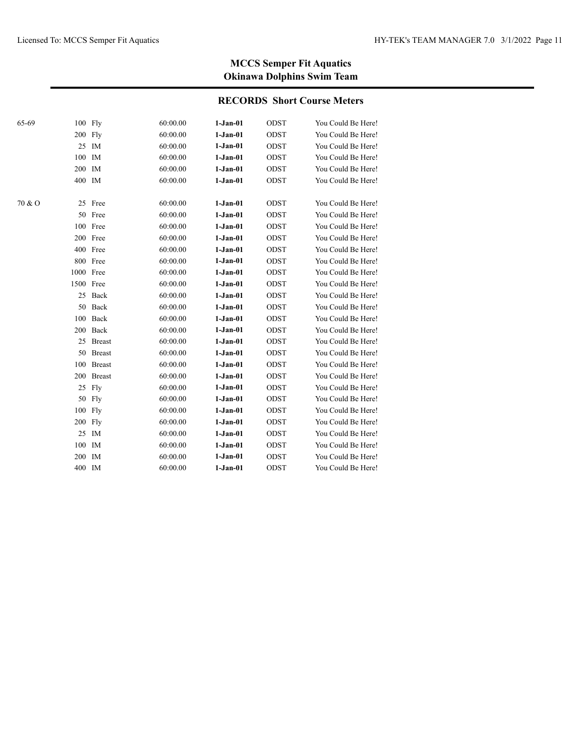| 65-69  | 100 Fly   |               | 60:00.00 | $1-Jan-01$ | ODST        | You Could Be Here! |
|--------|-----------|---------------|----------|------------|-------------|--------------------|
|        | 200 Fly   |               | 60:00.00 | $1-Jan-01$ | ODST        | You Could Be Here! |
|        |           | 25 IM         | 60:00.00 | $1-Jan-01$ | ODST        | You Could Be Here! |
|        | 100       | IM            | 60:00.00 | $1-Jan-01$ | <b>ODST</b> | You Could Be Here! |
|        | 200 IM    |               | 60:00.00 | $1-Jan-01$ | ODST        | You Could Be Here! |
|        | 400 IM    |               | 60:00.00 | $1-Jan-01$ | <b>ODST</b> | You Could Be Here! |
| 70 & O |           | 25 Free       | 60:00.00 | $1-Jan-01$ | <b>ODST</b> | You Could Be Here! |
|        |           | 50 Free       | 60:00.00 | $1-Jan-01$ | <b>ODST</b> | You Could Be Here! |
|        |           | 100 Free      | 60:00.00 | $1-Jan-01$ | ODST        | You Could Be Here! |
|        |           | 200 Free      | 60:00.00 | $1-Jan-01$ | ODST        | You Could Be Here! |
|        |           | 400 Free      | 60:00.00 | $1-Jan-01$ | ODST        | You Could Be Here! |
|        |           | 800 Free      | 60:00.00 | $1-Jan-01$ | <b>ODST</b> | You Could Be Here! |
|        | 1000 Free |               | 60:00.00 | $1-Jan-01$ | <b>ODST</b> | You Could Be Here! |
|        | 1500 Free |               | 60:00.00 | $1-Jan-01$ | <b>ODST</b> | You Could Be Here! |
|        |           | 25 Back       | 60:00.00 | $1-Jan-01$ | ODST        | You Could Be Here! |
|        |           | 50 Back       | 60:00.00 | $1-Jan-01$ | ODST        | You Could Be Here! |
|        | 100       | Back          | 60:00.00 | $1-Jan-01$ | <b>ODST</b> | You Could Be Here! |
|        |           | 200 Back      | 60:00.00 | $1-Jan-01$ | <b>ODST</b> | You Could Be Here! |
|        | 25        | <b>Breast</b> | 60:00.00 | $1-Jan-01$ | ODST        | You Could Be Here! |
|        | 50        | <b>Breast</b> | 60:00.00 | $1-Jan-01$ | <b>ODST</b> | You Could Be Here! |
|        | 100       | <b>Breast</b> | 60:00.00 | $1-Jan-01$ | ODST        | You Could Be Here! |
|        | 200       | <b>Breast</b> | 60:00.00 | $1-Jan-01$ | ODST        | You Could Be Here! |
|        | 25        | Fly           | 60:00.00 | $1-Jan-01$ | ODST        | You Could Be Here! |
|        | 50        | Fly           | 60:00.00 | $1-Jan-01$ | ODST        | You Could Be Here! |
|        | $100$ Fly |               | 60:00.00 | $1-Jan-01$ | ODST        | You Could Be Here! |
|        | 200 Fly   |               | 60:00.00 | $1-Jan-01$ | ODST        | You Could Be Here! |
|        | 25        | IM            | 60:00.00 | $1-Jan-01$ | ODST        | You Could Be Here! |
|        | 100       | IM            | 60:00.00 | $1-Jan-01$ | ODST        | You Could Be Here! |
|        | 200       | IM            | 60:00.00 | $1-Jan-01$ | ODST        | You Could Be Here! |
|        | 400 IM    |               | 60:00.00 | $1-Jan-01$ | ODST        | You Could Be Here! |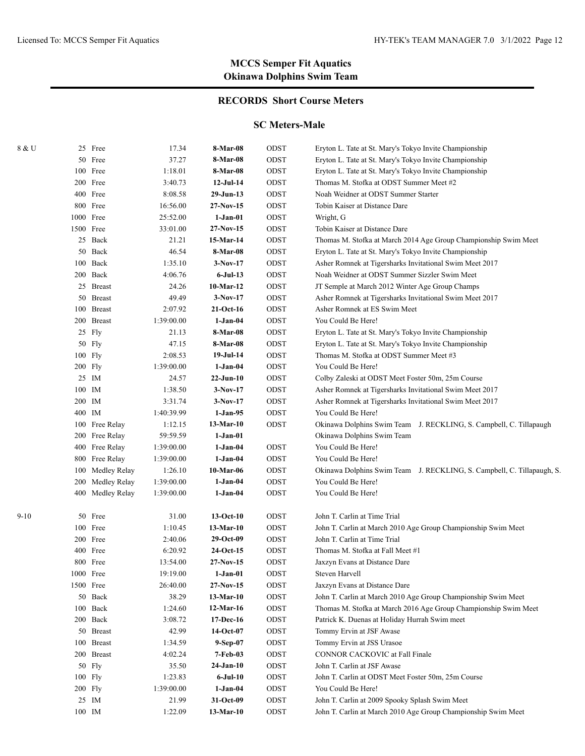### **RECORDS Short Course Meters**

#### **SC Meters-Male**

| Eryton L. Tate at St. Mary's Tokyo Invite Championship                 |
|------------------------------------------------------------------------|
|                                                                        |
| Eryton L. Tate at St. Mary's Tokyo Invite Championship                 |
| Thomas M. Stofka at ODST Summer Meet #2                                |
| Noah Weidner at ODST Summer Starter                                    |
|                                                                        |
|                                                                        |
|                                                                        |
| Thomas M. Stofka at March 2014 Age Group Championship Swim Meet        |
| Eryton L. Tate at St. Mary's Tokyo Invite Championship                 |
| Asher Romnek at Tigersharks Invitational Swim Meet 2017                |
| Noah Weidner at ODST Summer Sizzler Swim Meet                          |
| JT Semple at March 2012 Winter Age Group Champs                        |
| Asher Romnek at Tigersharks Invitational Swim Meet 2017                |
|                                                                        |
|                                                                        |
| Eryton L. Tate at St. Mary's Tokyo Invite Championship                 |
| Eryton L. Tate at St. Mary's Tokyo Invite Championship                 |
| Thomas M. Stofka at ODST Summer Meet #3                                |
|                                                                        |
| Colby Zaleski at ODST Meet Foster 50m, 25m Course                      |
| Asher Romnek at Tigersharks Invitational Swim Meet 2017                |
| Asher Romnek at Tigersharks Invitational Swim Meet 2017                |
|                                                                        |
| Okinawa Dolphins Swim Team J. RECKLING, S. Campbell, C. Tillapaugh     |
|                                                                        |
|                                                                        |
|                                                                        |
| Okinawa Dolphins Swim Team J. RECKLING, S. Campbell, C. Tillapaugh, S. |
|                                                                        |
|                                                                        |
|                                                                        |
| John T. Carlin at March 2010 Age Group Championship Swim Meet          |
|                                                                        |
|                                                                        |
|                                                                        |
|                                                                        |
|                                                                        |
| John T. Carlin at March 2010 Age Group Championship Swim Meet          |
| Thomas M. Stofka at March 2016 Age Group Championship Swim Meet        |
| Patrick K. Duenas at Holiday Hurrah Swim meet                          |
|                                                                        |
|                                                                        |
| CONNOR CACKOVIC at Fall Finale                                         |
|                                                                        |
| John T. Carlin at ODST Meet Foster 50m, 25m Course                     |
|                                                                        |
| John T. Carlin at 2009 Spooky Splash Swim Meet                         |
| John T. Carlin at March 2010 Age Group Championship Swim Meet          |
|                                                                        |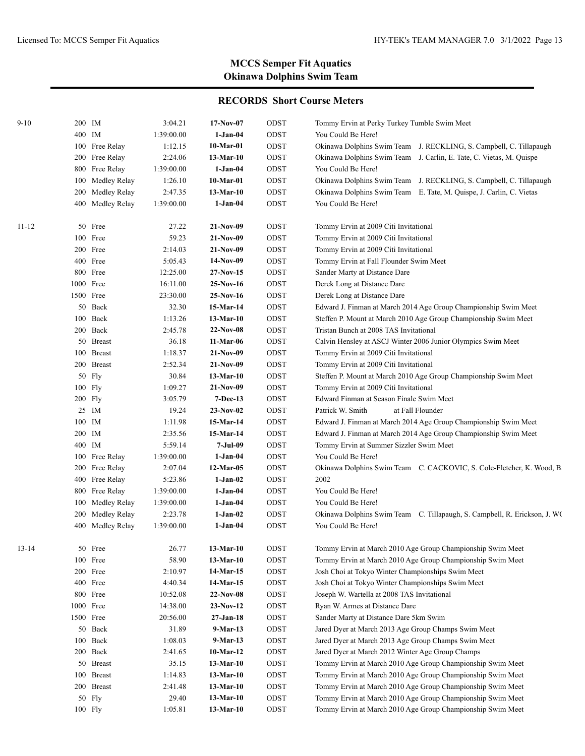| $9 - 10$  | 200 IM |                  | 3:04.21    | $17-Nov-07$ | ODST | Tommy Ervin at Perky Turkey Tumble Swim Meet                              |
|-----------|--------|------------------|------------|-------------|------|---------------------------------------------------------------------------|
|           | 400 IM |                  | 1:39:00.00 | $1-Jan-04$  | ODST | You Could Be Here!                                                        |
|           |        | 100 Free Relay   | 1:12.15    | 10-Mar-01   | ODST | Okinawa Dolphins Swim Team J. RECKLING, S. Campbell, C. Tillapaugh        |
|           |        | 200 Free Relay   | 2:24.06    | $13-Mar-10$ | ODST | Okinawa Dolphins Swim Team J. Carlin, E. Tate, C. Vietas, M. Quispe       |
|           |        | 800 Free Relay   | 1:39:00.00 | $1-Jan-04$  | ODST | You Could Be Here!                                                        |
|           |        | 100 Medley Relay | 1:26.10    | 10-Mar-01   | ODST | Okinawa Dolphins Swim Team J. RECKLING, S. Campbell, C. Tillapaugh        |
|           |        | 200 Medley Relay | 2:47.35    | $13-Mar-10$ | ODST | Okinawa Dolphins Swim Team E. Tate, M. Quispe, J. Carlin, C. Vietas       |
|           |        | 400 Medley Relay | 1:39:00.00 | $1-Jan-04$  | ODST | You Could Be Here!                                                        |
| $11 - 12$ |        | 50 Free          | 27.22      | $21-Nov-09$ | ODST | Tommy Ervin at 2009 Citi Invitational                                     |
|           |        | 100 Free         | 59.23      | $21-Nov-09$ | ODST | Tommy Ervin at 2009 Citi Invitational                                     |
|           |        | 200 Free         | 2:14.03    | $21-Nov-09$ | ODST | Tommy Ervin at 2009 Citi Invitational                                     |
|           |        | 400 Free         | 5:05.43    | 14-Nov-09   | ODST | Tommy Ervin at Fall Flounder Swim Meet                                    |
|           |        | 800 Free         | 12:25.00   | $27-Nov-15$ | ODST | Sander Marty at Distance Dare                                             |
|           |        | 1000 Free        | 16:11.00   | 25-Nov-16   | ODST | Derek Long at Distance Dare                                               |
|           |        | 1500 Free        | 23:30.00   | $25-Nov-16$ | ODST | Derek Long at Distance Dare                                               |
|           |        | 50 Back          | 32.30      | 15-Mar-14   | ODST | Edward J. Finman at March 2014 Age Group Championship Swim Meet           |
|           |        | 100 Back         | 1:13.26    | 13-Mar-10   | ODST | Steffen P. Mount at March 2010 Age Group Championship Swim Meet           |
|           |        | 200 Back         | 2:45.78    | $22-Nov-08$ | ODST | Tristan Bunch at 2008 TAS Invitational                                    |
|           |        | 50 Breast        | 36.18      | 11-Mar-06   | ODST | Calvin Hensley at ASCJ Winter 2006 Junior Olympics Swim Meet              |
|           |        | 100 Breast       | 1:18.37    | $21-Nov-09$ | ODST | Tommy Ervin at 2009 Citi Invitational                                     |
|           |        | 200 Breast       | 2:52.34    | $21-Nov-09$ | ODST | Tommy Ervin at 2009 Citi Invitational                                     |
|           |        | 50 Fly           | 30.84      | $13-Mar-10$ | ODST | Steffen P. Mount at March 2010 Age Group Championship Swim Meet           |
|           |        | $100$ Fly        | 1:09.27    | $21-Nov-09$ | ODST | Tommy Ervin at 2009 Citi Invitational                                     |
|           |        | 200 Fly          | 3:05.79    | $7-Dec-13$  | ODST | Edward Finman at Season Finale Swim Meet                                  |
|           |        | 25 IM            | 19.24      | $23-Nov-02$ | ODST | Patrick W. Smith<br>at Fall Flounder                                      |
|           | 100 IM |                  | 1:11.98    | 15-Mar-14   | ODST | Edward J. Finman at March 2014 Age Group Championship Swim Meet           |
|           | 200 IM |                  | 2:35.56    | 15-Mar-14   | ODST | Edward J. Finman at March 2014 Age Group Championship Swim Meet           |
|           | 400 IM |                  | 5:59.14    | 7-Jul-09    | ODST | Tommy Ervin at Summer Sizzler Swim Meet                                   |
|           |        | 100 Free Relay   | 1:39:00.00 | $1-Jan-04$  | ODST | You Could Be Here!                                                        |
|           |        | 200 Free Relay   | 2:07.04    | $12-Mar-05$ | ODST | Okinawa Dolphins Swim Team C. CACKOVIC, S. Cole-Fletcher, K. Wood, B      |
|           |        | 400 Free Relay   | 5:23.86    | $1-Jan-02$  | ODST | 2002                                                                      |
|           |        | 800 Free Relay   | 1:39:00.00 | $1-Jan-04$  | ODST | You Could Be Here!                                                        |
|           |        | 100 Medley Relay | 1:39:00.00 | $1-Jan-04$  | ODST | You Could Be Here!                                                        |
|           |        | 200 Medley Relay | 2:23.78    | $1-Jan-02$  | ODST | Okinawa Dolphins Swim Team C. Tillapaugh, S. Campbell, R. Erickson, J. WO |
|           |        | 400 Medley Relay | 1:39:00.00 | $1-Jan-04$  | ODST | You Could Be Here!                                                        |
| $13 - 14$ |        | 50 Free          | 26.77      | 13-Mar-10   | ODST | Tommy Ervin at March 2010 Age Group Championship Swim Meet                |
|           |        | 100 Free         | 58.90      | $13-Mar-10$ | ODST | Tommy Ervin at March 2010 Age Group Championship Swim Meet                |
|           |        | 200 Free         | 2:10.97    | 14-Mar-15   | ODST | Josh Choi at Tokyo Winter Championships Swim Meet                         |
|           |        | 400 Free         | 4:40.34    | 14-Mar-15   | ODST | Josh Choi at Tokyo Winter Championships Swim Meet                         |
|           |        | 800 Free         | 10:52.08   | $22-Nov-08$ | ODST | Joseph W. Wartella at 2008 TAS Invitational                               |
|           |        | 1000 Free        | 14:38.00   | $23-Nov-12$ | ODST | Ryan W. Armes at Distance Dare                                            |
|           |        | 1500 Free        | 20:56.00   | $27-Jan-18$ | ODST | Sander Marty at Distance Dare 5km Swim                                    |
|           |        | 50 Back          | 31.89      | 9-Mar-13    | ODST | Jared Dyer at March 2013 Age Group Champs Swim Meet                       |
|           |        | 100 Back         | 1:08.03    | 9-Mar-13    | ODST | Jared Dyer at March 2013 Age Group Champs Swim Meet                       |
|           |        | 200 Back         | 2:41.65    | $10-Mar-12$ | ODST | Jared Dyer at March 2012 Winter Age Group Champs                          |
|           |        | 50 Breast        | 35.15      | $13-Mar-10$ | ODST | Tommy Ervin at March 2010 Age Group Championship Swim Meet                |
|           |        | 100 Breast       | 1:14.83    | $13-Mar-10$ | ODST | Tommy Ervin at March 2010 Age Group Championship Swim Meet                |
|           |        | 200 Breast       | 2:41.48    | $13-Mar-10$ | ODST | Tommy Ervin at March 2010 Age Group Championship Swim Meet                |
|           |        | 50 Fly           | 29.40      | $13-Mar-10$ | ODST | Tommy Ervin at March 2010 Age Group Championship Swim Meet                |
|           |        | 100 Fly          | 1:05.81    | $13-Mar-10$ | ODST | Tommy Ervin at March 2010 Age Group Championship Swim Meet                |
|           |        |                  |            |             |      |                                                                           |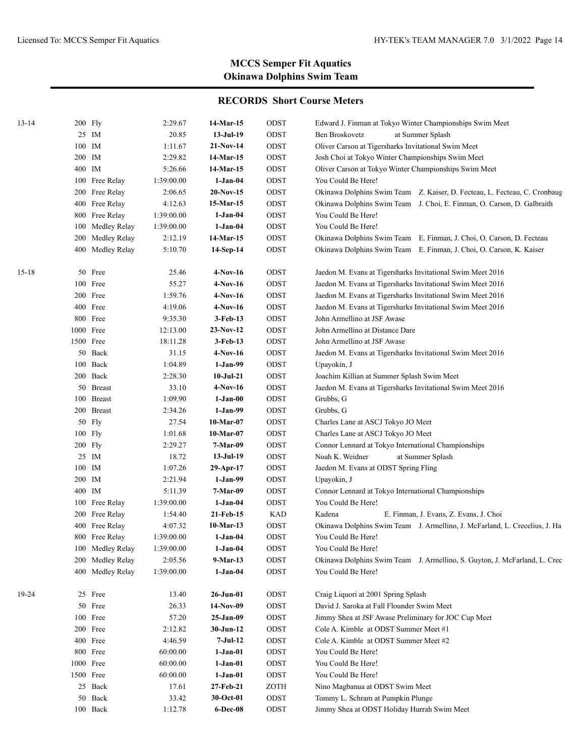| $13 - 14$ | 200 Fly       |                  | 2:29.67    | 14-Mar-15     | ODST       | Edward J. Finman at Tokyo Winter Championships Swim Meet                   |
|-----------|---------------|------------------|------------|---------------|------------|----------------------------------------------------------------------------|
|           |               | 25 IM            | 20.85      | $13-Jul-19$   | ODST       | Ben Broskovetz<br>at Summer Splash                                         |
|           | $100$ $\,$ IM |                  | 1:11.67    | 21-Nov-14     | ODST       | Oliver Carson at Tigersharks Invitational Swim Meet                        |
|           | 200 IM        |                  | 2:29.82    | 14-Mar-15     | ODST       | Josh Choi at Tokyo Winter Championships Swim Meet                          |
|           | 400 IM        |                  | 5:26.66    | 14-Mar-15     | ODST       | Oliver Carson at Tokyo Winter Championships Swim Meet                      |
|           |               | 100 Free Relay   | 1:39:00.00 | $1-Jan-04$    | ODST       | You Could Be Here!                                                         |
|           |               | 200 Free Relay   | 2:06.65    | $20-Nov-15$   | ODST       | Okinawa Dolphins Swim Team Z. Kaiser, D. Fecteau, L. Fecteau, C. Cronbaug  |
|           |               | 400 Free Relay   | 4:12.63    | 15-Mar-15     | ODST       | Okinawa Dolphins Swim Team J. Choi, E. Finman, O. Carson, D. Galbraith     |
|           |               | 800 Free Relay   | 1:39:00.00 | $1-Jan-04$    | ODST       | You Could Be Here!                                                         |
|           |               | 100 Medley Relay | 1:39:00.00 | $1-Jan-04$    | ODST       | You Could Be Here!                                                         |
|           |               | 200 Medley Relay | 2:12.19    | 14-Mar-15     | ODST       | Okinawa Dolphins Swim Team E. Finman, J. Choi, O. Carson, D. Fecteau       |
|           |               | 400 Medley Relay | 5:10.70    | 14-Sep-14     | ODST       | Okinawa Dolphins Swim Team E. Finman, J. Choi, O. Carson, K. Kaiser        |
| $15 - 18$ |               | 50 Free          | 25.46      | $4-Nov-16$    | ODST       | Jaedon M. Evans at Tigersharks Invitational Swim Meet 2016                 |
|           |               | 100 Free         | 55.27      | $4-Nov-16$    | ODST       | Jaedon M. Evans at Tigersharks Invitational Swim Meet 2016                 |
|           |               | 200 Free         | 1:59.76    | 4-Nov-16      | ODST       | Jaedon M. Evans at Tigersharks Invitational Swim Meet 2016                 |
|           |               | 400 Free         | 4:19.06    | $4-Nov-16$    | ODST       | Jaedon M. Evans at Tigersharks Invitational Swim Meet 2016                 |
|           |               | 800 Free         | 9:35.30    | $3-Feb-13$    | ODST       | John Armellino at JSF Awase                                                |
|           | 1000 Free     |                  | 12:13.00   | $23-Nov-12$   | ODST       | John Armellino at Distance Dare                                            |
|           | 1500 Free     |                  | 18:11.28   | $3-Feb-13$    | ODST       | John Armellino at JSF Awase                                                |
|           |               | 50 Back          | 31.15      | 4-Nov-16      | ODST       | Jaedon M. Evans at Tigersharks Invitational Swim Meet 2016                 |
|           |               | 100 Back         | 1:04.89    | $1-Jan-99$    | ODST       | Upayokin, J                                                                |
|           |               | 200 Back         | 2:28.30    | $10$ -Jul-21  | ODST       | Joachim Killian at Summer Splash Swim Meet                                 |
|           |               | 50 Breast        | 33.10      | 4-Nov-16      | ODST       | Jaedon M. Evans at Tigersharks Invitational Swim Meet 2016                 |
|           |               | 100 Breast       | 1:09.90    | $1-Jan-00$    | ODST       | Grubbs, G                                                                  |
|           |               | 200 Breast       | 2:34.26    | $1-Jan-99$    | ODST       | Grubbs, G                                                                  |
|           |               | 50 Fly           | 27.54      | $10-Mar-07$   | ODST       | Charles Lane at ASCJ Tokyo JO Meet                                         |
|           |               | 100 Fly          | 1:01.68    | $10-Mar-07$   | ODST       | Charles Lane at ASCJ Tokyo JO Meet                                         |
|           | 200 Fly       |                  | 2:29.27    | 7-Mar-09      | ODST       | Connor Lennard at Tokyo International Championships                        |
|           |               | 25 IM            | 18.72      | $13-Jul-19$   | ODST       | Noah K. Weidner<br>at Summer Splash                                        |
|           | 100 IM        |                  | 1:07.26    | 29-Apr-17     | ODST       | Jaedon M. Evans at ODST Spring Fling                                       |
|           | 200 IM        |                  | 2:21.94    | $1-Jan-99$    | ODST       | Upayokin, J                                                                |
|           | 400 IM        |                  | 5:11.39    | 7-Mar-09      | ODST       | Connor Lennard at Tokyo International Championships                        |
|           |               | 100 Free Relay   | 1:39:00.00 | $1-Jan-04$    | ODST       | You Could Be Here!                                                         |
|           |               | 200 Free Relay   | 1:54.40    | 21-Feb-15     | <b>KAD</b> | Kadena<br>E. Finman, J. Evans, Z. Evans, J. Choi                           |
|           |               | 400 Free Relay   | 4:07.32    | 10-Mar-13     | ODST       | Okinawa Dolphins Swim Team J. Armellino, J. McFarland, L. Crecelius, J. Ha |
|           |               | 800 Free Relay   | 1:39:00.00 | 1-Jan-04      | ODST       | You Could Be Here!                                                         |
|           |               | 100 Medley Relay | 1:39:00.00 | $1-Jan-04$    | ODST       | You Could Be Here!                                                         |
|           |               | 200 Medley Relay | 2:05.56    | $9-Mar-13$    | ODST       | Okinawa Dolphins Swim Team J. Armellino, S. Guyton, J. McFarland, L. Crec  |
|           |               | 400 Medley Relay | 1:39:00.00 | $1-Jan-04$    | ODST       | You Could Be Here!                                                         |
| 19-24     |               | 25 Free          | 13.40      | $26 - Jun-01$ | ODST       | Craig Liquori at 2001 Spring Splash                                        |
|           |               | 50 Free          | 26.33      | $14-Nov-09$   | ODST       | David J. Saroka at Fall Flounder Swim Meet                                 |
|           |               | 100 Free         | 57.20      | 25-Jan-09     | ODST       | Jimmy Shea at JSF Awase Preliminary for JOC Cup Meet                       |
|           |               | 200 Free         | 2:12.82    | $30-Jun-12$   | ODST       | Cole A. Kimble at ODST Summer Meet #1                                      |
|           |               | 400 Free         | 4:46.59    | $7-Jul-12$    | ODST       | Cole A. Kimble at ODST Summer Meet #2                                      |
|           |               | 800 Free         | 60:00.00   | $1-Jan-01$    | ODST       | You Could Be Here!                                                         |
|           |               | 1000 Free        | 60:00.00   | $1-Jan-01$    | ODST       | You Could Be Here!                                                         |
|           |               | 1500 Free        | 60:00.00   | $1-Jan-01$    | ODST       | You Could Be Here!                                                         |
|           |               | 25 Back          | 17.61      | 27-Feb-21     | ZOTH       | Nino Magbanua at ODST Swim Meet                                            |
|           |               | 50 Back          | 33.42      | 30-Oct-01     | ODST       | Tommy L. Schram at Pumpkin Plunge                                          |
|           |               | 100 Back         | 1:12.78    | 6-Dec-08      | ODST       | Jimmy Shea at ODST Holiday Hurrah Swim Meet                                |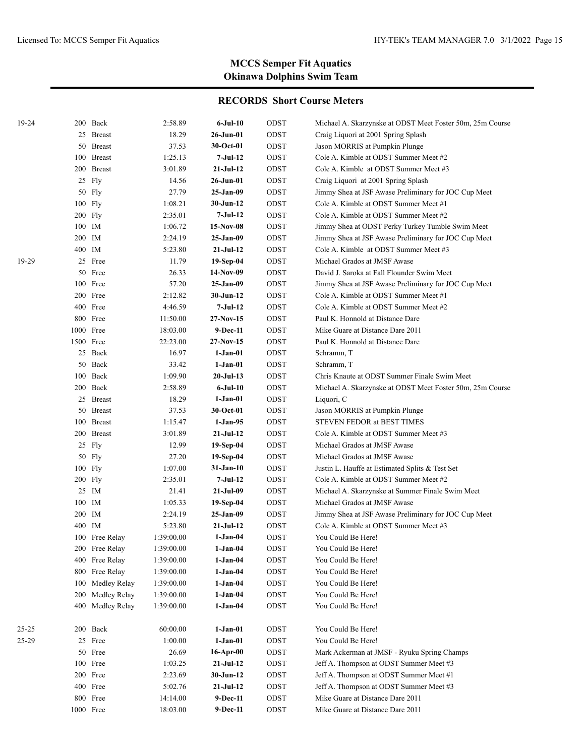| 19-24 |           | 200 Back       | 2:58.89    | 6-Jul-10     | ODST | Michael A. Skarzynske at ODST Meet Foster 50m, 25m Course |
|-------|-----------|----------------|------------|--------------|------|-----------------------------------------------------------|
|       | 25        | <b>Breast</b>  | 18.29      | $26$ -Jun-01 | ODST | Craig Liquori at 2001 Spring Splash                       |
|       | 50        | <b>Breast</b>  | 37.53      | 30-Oct-01    | ODST | Jason MORRIS at Pumpkin Plunge                            |
|       |           | 100 Breast     | 1:25.13    | 7-Jul-12     | ODST | Cole A. Kimble at ODST Summer Meet #2                     |
|       |           | 200 Breast     | 3:01.89    | $21-Jul-12$  | ODST | Cole A. Kimble at ODST Summer Meet #3                     |
|       |           | 25 Fly         | 14.56      | $26$ -Jun-01 | ODST | Craig Liquori at 2001 Spring Splash                       |
|       |           | $50$ Fly       | 27.79      | 25-Jan-09    | ODST | Jimmy Shea at JSF Awase Preliminary for JOC Cup Meet      |
|       |           | $100$ Fly      | 1:08.21    | $30-Jun-12$  | ODST | Cole A. Kimble at ODST Summer Meet #1                     |
|       | 200 Fly   |                | 2:35.01    | 7-Jul-12     | ODST | Cole A. Kimble at ODST Summer Meet #2                     |
|       | 100 IM    |                | 1:06.72    | 15-Nov-08    | ODST | Jimmy Shea at ODST Perky Turkey Tumble Swim Meet          |
|       | 200 IM    |                | 2:24.19    | 25-Jan-09    | ODST | Jimmy Shea at JSF Awase Preliminary for JOC Cup Meet      |
|       | 400 IM    |                | 5:23.80    | $21-Jul-12$  | ODST | Cole A. Kimble at ODST Summer Meet #3                     |
| 19-29 |           | 25 Free        | 11.79      | 19-Sep-04    | ODST | Michael Grados at JMSF Awase                              |
|       |           | 50 Free        | 26.33      | 14-Nov-09    | ODST | David J. Saroka at Fall Flounder Swim Meet                |
|       |           | 100 Free       | 57.20      | 25-Jan-09    | ODST | Jimmy Shea at JSF Awase Preliminary for JOC Cup Meet      |
|       |           | 200 Free       | 2:12.82    | 30-Jun-12    | ODST | Cole A. Kimble at ODST Summer Meet #1                     |
|       |           | 400 Free       | 4:46.59    | 7-Jul-12     | ODST | Cole A. Kimble at ODST Summer Meet #2                     |
|       |           | 800 Free       | 11:50.00   | 27-Nov-15    | ODST | Paul K. Honnold at Distance Dare                          |
|       | 1000 Free |                | 18:03.00   | 9-Dec-11     | ODST | Mike Guare at Distance Dare 2011                          |
|       | 1500 Free |                | 22:23.00   | 27-Nov-15    | ODST | Paul K. Honnold at Distance Dare                          |
|       |           | 25 Back        | 16.97      | $1-Jan-01$   | ODST | Schramm, T                                                |
|       |           | 50 Back        | 33.42      | $1-Jan-01$   | ODST | Schramm, T                                                |
|       |           | 100 Back       | 1:09.90    | $20-Jul-13$  | ODST | Chris Knaute at ODST Summer Finale Swim Meet              |
|       |           | 200 Back       | 2:58.89    | 6-Jul-10     | ODST | Michael A. Skarzynske at ODST Meet Foster 50m, 25m Course |
|       |           | 25 Breast      | 18.29      | 1-Jan-01     | ODST | Liquori, C                                                |
|       |           | 50 Breast      | 37.53      | 30-Oct-01    | ODST | Jason MORRIS at Pumpkin Plunge                            |
|       |           | 100 Breast     | 1:15.47    | 1-Jan-95     | ODST | STEVEN FEDOR at BEST TIMES                                |
|       |           | 200 Breast     | 3:01.89    | $21-Jul-12$  | ODST | Cole A. Kimble at ODST Summer Meet #3                     |
|       |           | 25 Fly         | 12.99      | 19-Sep-04    | ODST | Michael Grados at JMSF Awase                              |
|       |           | 50 Fly         | 27.20      | 19-Sep-04    | ODST | Michael Grados at JMSF Awase                              |
|       |           | $100$ Fly      | 1:07.00    | 31-Jan-10    | ODST | Justin L. Hauffe at Estimated Splits & Test Set           |
|       | 200 Fly   |                | 2:35.01    | 7-Jul-12     | ODST | Cole A. Kimble at ODST Summer Meet #2                     |
|       |           | 25 IM          | 21.41      | 21-Jul-09    | ODST | Michael A. Skarzynske at Summer Finale Swim Meet          |
|       | 100       | IM             | 1:05.33    | 19-Sep-04    | ODST | Michael Grados at JMSF Awase                              |
|       | 200       | IM             | 2:24.19    | 25-Jan-09    | ODST | Jimmy Shea at JSF Awase Preliminary for JOC Cup Meet      |
|       | 400       | IM             | 5:23.80    | $21-Jul-12$  | ODST | Cole A. Kimble at ODST Summer Meet #3                     |
|       |           | 100 Free Relay | 1:39:00.00 | $1-Jan-04$   | ODST | You Could Be Here!                                        |
|       |           | 200 Free Relay | 1:39:00.00 | $1-Jan-04$   | ODST | You Could Be Here!                                        |
|       | 400       | Free Relay     | 1:39:00.00 | $1-Jan-04$   | ODST | You Could Be Here!                                        |
|       | 800       | Free Relay     | 1:39:00.00 | $1-Jan-04$   | ODST | You Could Be Here!                                        |
|       | 100       | Medley Relay   | 1:39:00.00 | $1-Jan-04$   | ODST | You Could Be Here!                                        |
|       | 200       | Medley Relay   | 1:39:00.00 | $1-Jan-04$   | ODST | You Could Be Here!                                        |
|       | 400       | Medley Relay   | 1:39:00.00 | $1-Jan-04$   | ODST | You Could Be Here!                                        |
| 25-25 | 200       | Back           | 60:00.00   | $1-Jan-01$   | ODST | You Could Be Here!                                        |
| 25-29 |           | 25 Free        | 1:00.00    | $1-Jan-01$   | ODST | You Could Be Here!                                        |
|       | 50        | Free           | 26.69      | $16$ -Apr-00 | ODST | Mark Ackerman at JMSF - Ryuku Spring Champs               |
|       | 100       | Free           | 1:03.25    | $21-Jul-12$  | ODST | Jeff A. Thompson at ODST Summer Meet #3                   |
|       | 200       | Free           | 2:23.69    | $30-Jun-12$  | ODST | Jeff A. Thompson at ODST Summer Meet #1                   |
|       |           | 400 Free       | 5:02.76    | $21-Jul-12$  | ODST | Jeff A. Thompson at ODST Summer Meet #3                   |
|       | 800       | Free           | 14:14.00   | 9-Dec-11     | ODST | Mike Guare at Distance Dare 2011                          |
|       | 1000 Free |                | 18:03.00   | 9-Dec-11     | ODST | Mike Guare at Distance Dare 2011                          |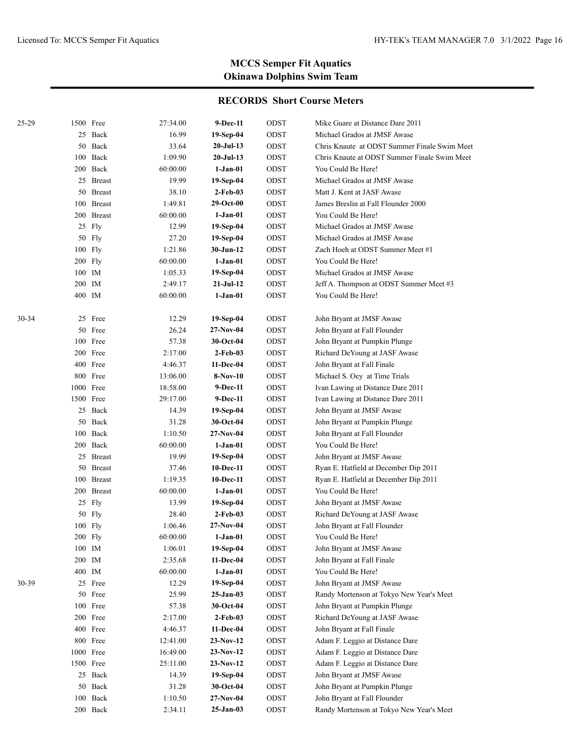| 25-29 |               | 1500 Free  | 27:34.00 | 9-Dec-11         | ODST | Mike Guare at Distance Dare 2011             |
|-------|---------------|------------|----------|------------------|------|----------------------------------------------|
|       |               | 25 Back    | 16.99    | 19-Sep-04        | ODST | Michael Grados at JMSF Awase                 |
|       |               | 50 Back    | 33.64    | 20-Jul-13        | ODST | Chris Knaute at ODST Summer Finale Swim Meet |
|       |               | 100 Back   | 1:09.90  | 20-Jul-13        | ODST | Chris Knaute at ODST Summer Finale Swim Meet |
|       |               | 200 Back   | 60:00.00 | $1-Jan-01$       | ODST | You Could Be Here!                           |
|       |               | 25 Breast  | 19.99    | 19-Sep-04        | ODST | Michael Grados at JMSF Awase                 |
|       |               | 50 Breast  | 38.10    | 2-Feb-03         | ODST | Matt J. Kent at JASF Awase                   |
|       |               | 100 Breast | 1:49.81  | 29-Oct-00        | ODST | James Breslin at Fall Flounder 2000          |
|       |               | 200 Breast | 60:00.00 | 1-Jan-01         | ODST | You Could Be Here!                           |
|       |               | 25 Fly     | 12.99    | 19-Sep-04        | ODST | Michael Grados at JMSF Awase                 |
|       |               | 50 Fly     | 27.20    | $19-Sep-04$      | ODST | Michael Grados at JMSF Awase                 |
|       | 100 Fly       |            | 1:21.86  | 30-Jun-12        | ODST | Zach Hoeh at ODST Summer Meet #1             |
|       | 200 Fly       |            | 60:00.00 | $1-Jan-01$       | ODST | You Could Be Here!                           |
|       | 100 IM        |            | 1:05.33  | 19-Sep-04        | ODST | Michael Grados at JMSF Awase                 |
|       | 200 IM        |            | 2:49.17  | 21-Jul-12        | ODST | Jeff A. Thompson at ODST Summer Meet #3      |
|       | 400 IM        |            | 60:00.00 | 1-Jan-01         | ODST | You Could Be Here!                           |
|       |               |            |          |                  |      |                                              |
| 30-34 |               | 25 Free    | 12.29    | $19-Sep-04$      | ODST | John Bryant at JMSF Awase                    |
|       |               | 50 Free    | 26.24    | 27-Nov-04        | ODST | John Bryant at Fall Flounder                 |
|       |               | 100 Free   | 57.38    | 30-Oct-04        | ODST | John Bryant at Pumpkin Plunge                |
|       |               | 200 Free   | 2:17.00  | 2-Feb-03         | ODST | Richard DeYoung at JASF Awase                |
|       |               | 400 Free   | 4:46.37  | <b>11-Dec-04</b> | ODST | John Bryant at Fall Finale                   |
|       |               | 800 Free   | 13:06.00 | $8-Nov-10$       | ODST | Michael S. Oey at Time Trials                |
|       |               | 1000 Free  | 18:58.00 | 9-Dec-11         | ODST | Ivan Lawing at Distance Dare 2011            |
|       |               | 1500 Free  | 29:17.00 | 9-Dec-11         | ODST | Ivan Lawing at Distance Dare 2011            |
|       |               | 25 Back    | 14.39    | 19-Sep-04        | ODST | John Bryant at JMSF Awase                    |
|       |               | 50 Back    | 31.28    | 30-Oct-04        | ODST | John Bryant at Pumpkin Plunge                |
|       |               | 100 Back   | 1:10.50  | 27-Nov-04        | ODST | John Bryant at Fall Flounder                 |
|       |               | 200 Back   | 60:00.00 | 1-Jan-01         | ODST | You Could Be Here!                           |
|       |               | 25 Breast  | 19.99    | 19-Sep-04        | ODST | John Bryant at JMSF Awase                    |
|       |               | 50 Breast  | 37.46    | 10-Dec-11        | ODST | Ryan E. Hatfield at December Dip 2011        |
|       |               | 100 Breast | 1:19.35  | 10-Dec-11        | ODST | Ryan E. Hatfield at December Dip 2011        |
|       |               | 200 Breast | 60:00.00 | $1-Jan-01$       | ODST | You Could Be Here!                           |
|       |               | 25 Fly     | 13.99    | 19-Sep-04        | ODST | John Bryant at JMSF Awase                    |
|       |               | 50 Fly     | 28.40    | 2-Feb-03         | ODST | Richard DeYoung at JASF Awase                |
|       |               | 100 Fly    | 1:06.46  | 27-Nov-04        | ODST | John Bryant at Fall Flounder                 |
|       | 200 Fly       |            | 60:00.00 | 1-Jan-01         | ODST | You Could Be Here!                           |
|       | $100$ $\,$ IM |            | 1:06.01  | 19-Sep-04        | ODST | John Bryant at JMSF Awase                    |
|       | 200 IM        |            | 2:35.68  | 11-Dec-04        | ODST | John Bryant at Fall Finale                   |
|       | $400\;\;$ IM  |            | 60:00.00 | $1-Jan-01$       | ODST | You Could Be Here!                           |
| 30-39 |               | 25 Free    | 12.29    | $19-Sep-04$      | ODST | John Bryant at JMSF Awase                    |
|       |               | 50 Free    | 25.99    | 25-Jan-03        | ODST | Randy Mortenson at Tokyo New Year's Meet     |
|       |               | 100 Free   | 57.38    | 30-Oct-04        | ODST | John Bryant at Pumpkin Plunge                |
|       |               | 200 Free   | 2:17.00  | 2-Feb-03         | ODST | Richard DeYoung at JASF Awase                |
|       |               | 400 Free   | 4:46.37  | 11-Dec-04        | ODST | John Bryant at Fall Finale                   |
|       |               | 800 Free   | 12:41.00 | 23-Nov-12        | ODST | Adam F. Leggio at Distance Dare              |
|       |               | 1000 Free  | 16:49.00 | $23-Nov-12$      | ODST | Adam F. Leggio at Distance Dare              |
|       |               | 1500 Free  | 25:11.00 | $23-Nov-12$      | ODST | Adam F. Leggio at Distance Dare              |
|       |               | 25 Back    | 14.39    | 19-Sep-04        | ODST | John Bryant at JMSF Awase                    |
|       |               | 50 Back    | 31.28    | 30-Oct-04        | ODST | John Bryant at Pumpkin Plunge                |
|       |               | 100 Back   | 1:10.50  | $27-Nov-04$      | ODST | John Bryant at Fall Flounder                 |
|       |               | 200 Back   | 2:34.11  | $25-Jan-03$      | ODST | Randy Mortenson at Tokyo New Year's Meet     |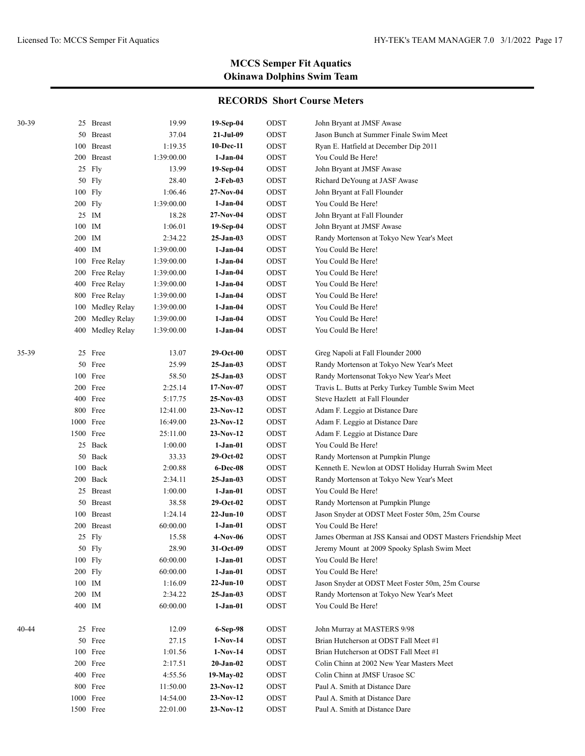| 30-39 |              | 25 Breast        | 19.99      | 19-Sep-04       | ODST | John Bryant at JMSF Awase                                    |
|-------|--------------|------------------|------------|-----------------|------|--------------------------------------------------------------|
|       |              | 50 Breast        | 37.04      | 21-Jul-09       | ODST | Jason Bunch at Summer Finale Swim Meet                       |
|       |              | 100 Breast       | 1:19.35    | 10-Dec-11       | ODST | Ryan E. Hatfield at December Dip 2011                        |
|       |              | 200 Breast       | 1:39:00.00 | 1-Jan-04        | ODST | You Could Be Here!                                           |
|       |              | 25 Fly           | 13.99      | 19-Sep-04       | ODST | John Bryant at JMSF Awase                                    |
|       |              | 50 Fly           | 28.40      | 2-Feb-03        | ODST | Richard DeYoung at JASF Awase                                |
|       |              | 100 Fly          | 1:06.46    | $27-Nov-04$     | ODST | John Bryant at Fall Flounder                                 |
|       |              | 200 Fly          | 1:39:00.00 | 1-Jan-04        | ODST | You Could Be Here!                                           |
|       |              | 25 IM            | 18.28      | $27-Nov-04$     | ODST | John Bryant at Fall Flounder                                 |
|       |              | $100$ $\,$ IM    | 1:06.01    | $19-Sep-04$     | ODST | John Bryant at JMSF Awase                                    |
|       | 200          | IM               | 2:34.22    | 25-Jan-03       | ODST | Randy Mortenson at Tokyo New Year's Meet                     |
|       | 400 IM       |                  | 1:39:00.00 | $1-Jan-04$      | ODST | You Could Be Here!                                           |
|       |              | 100 Free Relay   | 1:39:00.00 | $1-Jan-04$      | ODST | You Could Be Here!                                           |
|       |              | 200 Free Relay   | 1:39:00.00 | $1-Jan-04$      | ODST | You Could Be Here!                                           |
|       |              | 400 Free Relay   | 1:39:00.00 | $1-Jan-04$      | ODST | You Could Be Here!                                           |
|       | 800          | Free Relay       | 1:39:00.00 | $1-Jan-04$      | ODST | You Could Be Here!                                           |
|       | 100          | Medley Relay     | 1:39:00.00 | 1-Jan-04        | ODST | You Could Be Here!                                           |
|       | 200          | Medley Relay     | 1:39:00.00 | $1-Jan-04$      | ODST | You Could Be Here!                                           |
|       |              | 400 Medley Relay | 1:39:00.00 | 1-Jan-04        | ODST | You Could Be Here!                                           |
|       |              |                  |            |                 |      |                                                              |
| 35-39 |              | 25 Free          | 13.07      | 29-Oct-00       | ODST | Greg Napoli at Fall Flounder 2000                            |
|       |              | 50 Free          | 25.99      | $25-Jan-03$     | ODST | Randy Mortenson at Tokyo New Year's Meet                     |
|       |              | 100 Free         | 58.50      | 25-Jan-03       | ODST | Randy Mortensonat Tokyo New Year's Meet                      |
|       |              | 200 Free         | 2:25.14    | $17-Nov-07$     | ODST | Travis L. Butts at Perky Turkey Tumble Swim Meet             |
|       |              | 400 Free         | 5:17.75    | $25-Nov-03$     | ODST | Steve Hazlett at Fall Flounder                               |
|       |              | 800 Free         | 12:41.00   | $23-Nov-12$     | ODST | Adam F. Leggio at Distance Dare                              |
|       | 1000 Free    |                  | 16:49.00   | $23-Nov-12$     | ODST | Adam F. Leggio at Distance Dare                              |
|       | 1500 Free    |                  | 25:11.00   | $23-Nov-12$     | ODST | Adam F. Leggio at Distance Dare                              |
|       |              | 25 Back          | 1:00.00    | $1-Jan-01$      | ODST | You Could Be Here!                                           |
|       | 50           | Back             | 33.33      | $29-Oct-02$     | ODST | Randy Mortenson at Pumpkin Plunge                            |
|       | 100          | Back             | 2:00.88    | 6-Dec-08        | ODST | Kenneth E. Newlon at ODST Holiday Hurrah Swim Meet           |
|       |              | 200 Back         | 2:34.11    | 25-Jan-03       | ODST | Randy Mortenson at Tokyo New Year's Meet                     |
|       |              | 25 Breast        | 1:00.00    | 1-Jan-01        | ODST | You Could Be Here!                                           |
|       | 50           | <b>Breast</b>    | 38.58      | $29-Oct-02$     | ODST | Randy Mortenson at Pumpkin Plunge                            |
|       | 100          | <b>Breast</b>    | 1:24.14    | 22-Jun-10       | ODST | Jason Snyder at ODST Meet Foster 50m, 25m Course             |
|       |              | 200 Breast       | 60:00.00   | $1-Jan-01$      | ODST | You Could Be Here!                                           |
|       |              | 25 Fly           | 15.58      | 4-Nov-06        | ODST | James Oberman at JSS Kansai and ODST Masters Friendship Meet |
|       |              | 50 Fly           | 28.90      | 31-Oct-09       | ODST | Jeremy Mount at 2009 Spooky Splash Swim Meet                 |
|       |              | 100 Fly          | 60:00.00   | $1-Jan-01$      | ODST | You Could Be Here!                                           |
|       |              | 200 Fly          | 60:00.00   | $1-Jan-01$      | ODST | You Could Be Here!                                           |
|       |              | 100 IM           | 1:16.09    | $22-Jun-10$     | ODST | Jason Snyder at ODST Meet Foster 50m, 25m Course             |
|       | $200\;\;$ IM |                  | 2:34.22    | $25-Jan-03$     | ODST | Randy Mortenson at Tokyo New Year's Meet                     |
|       | 400 IM       |                  | 60:00.00   | $1-Jan-01$      | ODST | You Could Be Here!                                           |
| 40-44 |              | 25 Free          | 12.09      | 6-Sep-98        | ODST | John Murray at MASTERS 9/98                                  |
|       |              | 50 Free          | 27.15      | $1-Nov-14$      | ODST | Brian Hutcherson at ODST Fall Meet #1                        |
|       |              | 100 Free         | 1:01.56    | $1-Nov-14$      | ODST | Brian Hutcherson at ODST Fall Meet #1                        |
|       |              | 200 Free         | 2:17.51    | $20$ -Jan- $02$ | ODST | Colin Chinn at 2002 New Year Masters Meet                    |
|       |              | 400 Free         | 4:55.56    | 19-May-02       | ODST | Colin Chinn at JMSF Urasoe SC                                |
|       |              | 800 Free         | 11:50.00   | $23-Nov-12$     | ODST | Paul A. Smith at Distance Dare                               |
|       |              | 1000 Free        | 14:54.00   | $23-Nov-12$     | ODST | Paul A. Smith at Distance Dare                               |
|       |              | 1500 Free        | 22:01.00   | $23-Nov-12$     | ODST | Paul A. Smith at Distance Dare                               |
|       |              |                  |            |                 |      |                                                              |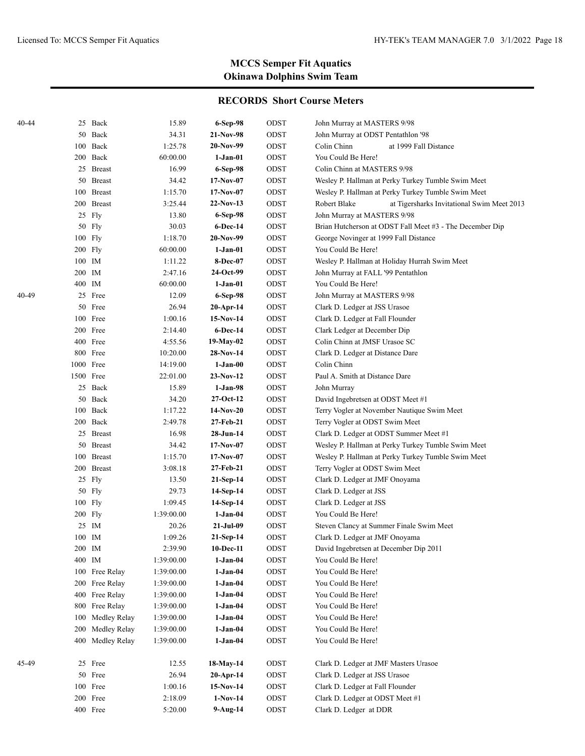| 40-44 |        | 25 Back          | 15.89      | 6-Sep-98     | ODST | John Murray at MASTERS 9/98                                |
|-------|--------|------------------|------------|--------------|------|------------------------------------------------------------|
|       | 50     | Back             | 34.31      | 21-Nov-98    | ODST | John Murray at ODST Pentathlon '98                         |
|       | 100    | Back             | 1:25.78    | 20-Nov-99    | ODST | Colin Chinn<br>at 1999 Fall Distance                       |
|       |        | 200 Back         | 60:00.00   | 1-Jan-01     | ODST | You Could Be Here!                                         |
|       | 25     | <b>Breast</b>    | 16.99      | 6-Sep-98     | ODST | Colin Chinn at MASTERS 9/98                                |
|       |        | 50 Breast        | 34.42      | $17-Nov-07$  | ODST | Wesley P. Hallman at Perky Turkey Tumble Swim Meet         |
|       | 100    | <b>Breast</b>    | 1:15.70    | $17-Nov-07$  | ODST | Wesley P. Hallman at Perky Turkey Tumble Swim Meet         |
|       |        | 200 Breast       | 3:25.44    | 22-Nov-13    | ODST | Robert Blake<br>at Tigersharks Invitational Swim Meet 2013 |
|       | 25     | Fly              | 13.80      | 6-Sep-98     | ODST | John Murray at MASTERS 9/98                                |
|       | 50     | Fly              | 30.03      | $6$ -Dec-14  | ODST | Brian Hutcherson at ODST Fall Meet #3 - The December Dip   |
|       | 100    | Fly              | 1:18.70    | 20-Nov-99    | ODST | George Novinger at 1999 Fall Distance                      |
|       |        | 200 Fly          | 60:00.00   | 1-Jan-01     | ODST | You Could Be Here!                                         |
|       |        | 100 IM           | 1:11.22    | 8-Dec-07     | ODST | Wesley P. Hallman at Holiday Hurrah Swim Meet              |
|       | 200    | IM               | 2:47.16    | 24-Oct-99    | ODST | John Murray at FALL '99 Pentathlon                         |
|       | 400 IM |                  | 60:00.00   | $1-Jan-01$   | ODST | You Could Be Here!                                         |
| 40-49 | 25     | Free             | 12.09      | 6-Sep-98     | ODST | John Murray at MASTERS 9/98                                |
|       |        | 50 Free          | 26.94      | $20-Apr-14$  | ODST | Clark D. Ledger at JSS Urasoe                              |
|       |        | 100 Free         | 1:00.16    | 15-Nov-14    | ODST | Clark D. Ledger at Fall Flounder                           |
|       |        | 200 Free         | 2:14.40    | 6-Dec-14     | ODST | Clark Ledger at December Dip                               |
|       |        | 400 Free         | 4:55.56    | $19-May-02$  | ODST | Colin Chinn at JMSF Urasoe SC                              |
|       |        | 800 Free         | 10:20.00   | 28-Nov-14    | ODST | Clark D. Ledger at Distance Dare                           |
|       |        | 1000 Free        | 14:19.00   | $1-Jan-00$   | ODST | Colin Chinn                                                |
|       |        | 1500 Free        | 22:01.00   | 23-Nov-12    | ODST | Paul A. Smith at Distance Dare                             |
|       |        | 25 Back          | 15.89      | 1-Jan-98     | ODST | John Murray                                                |
|       | 50     | Back             | 34.20      | $27-Oct-12$  | ODST | David Ingebretsen at ODST Meet #1                          |
|       |        | 100 Back         | 1:17.22    | 14-Nov-20    | ODST | Terry Vogler at November Nautique Swim Meet                |
|       |        | 200 Back         | 2:49.78    | 27-Feb-21    | ODST | Terry Vogler at ODST Swim Meet                             |
|       |        | 25 Breast        | 16.98      | 28-Jun-14    | ODST | Clark D. Ledger at ODST Summer Meet #1                     |
|       | 50     | <b>Breast</b>    | 34.42      | $17-Nov-07$  | ODST | Wesley P. Hallman at Perky Turkey Tumble Swim Meet         |
|       |        | 100 Breast       | 1:15.70    | $17-Nov-07$  | ODST | Wesley P. Hallman at Perky Turkey Tumble Swim Meet         |
|       |        | 200 Breast       | 3:08.18    | 27-Feb-21    | ODST | Terry Vogler at ODST Swim Meet                             |
|       |        | 25 Fly           | 13.50      | $21-Sep-14$  | ODST | Clark D. Ledger at JMF Onoyama                             |
|       | 50     | Fly              | 29.73      | 14-Sep-14    | ODST | Clark D. Ledger at JSS                                     |
|       |        | 100 Fly          | 1:09.45    | 14-Sep-14    | ODST | Clark D. Ledger at JSS                                     |
|       |        | 200 Fly          | 1:39:00.00 | $1-Jan-04$   | ODST | You Could Be Here!                                         |
|       |        | 25 IM            | 20.26      | $21-Jul-09$  | ODST | Steven Clancy at Summer Finale Swim Meet                   |
|       |        | 100 IM           | 1:09.26    | $21-Sep-14$  | ODST | Clark D. Ledger at JMF Onoyama                             |
|       |        | 200 IM           | 2:39.90    | $10$ -Dec-11 | ODST | David Ingebretsen at December Dip 2011                     |
|       |        | 400 IM           | 1:39:00.00 | 1-Jan-04     | ODST | You Could Be Here!                                         |
|       |        | 100 Free Relay   | 1:39:00.00 | $1-Jan-04$   | ODST | You Could Be Here!                                         |
|       |        | 200 Free Relay   | 1:39:00.00 | $1-Jan-04$   | ODST | You Could Be Here!                                         |
|       |        | 400 Free Relay   | 1:39:00.00 | $1-Jan-04$   | ODST | You Could Be Here!                                         |
|       | 800    | Free Relay       | 1:39:00.00 | $1-Jan-04$   | ODST | You Could Be Here!                                         |
|       | 100    | Medley Relay     | 1:39:00.00 | $1-Jan-04$   | ODST | You Could Be Here!                                         |
|       | 200    | Medley Relay     | 1:39:00.00 | $1-Jan-04$   | ODST | You Could Be Here!                                         |
|       |        | 400 Medley Relay | 1:39:00.00 | $1-Jan-04$   | ODST | You Could Be Here!                                         |
| 45-49 |        | 25 Free          | 12.55      | 18-May-14    | ODST | Clark D. Ledger at JMF Masters Urasoe                      |
|       |        | 50 Free          | 26.94      | $20-Apr-14$  | ODST | Clark D. Ledger at JSS Urasoe                              |
|       |        | 100 Free         | 1:00.16    | $15-Nov-14$  | ODST | Clark D. Ledger at Fall Flounder                           |
|       |        | 200 Free         | 2:18.09    | $1-Nov-14$   | ODST | Clark D. Ledger at ODST Meet #1                            |
|       |        | 400 Free         | 5:20.00    | $9-Aug-14$   | ODST | Clark D. Ledger at DDR                                     |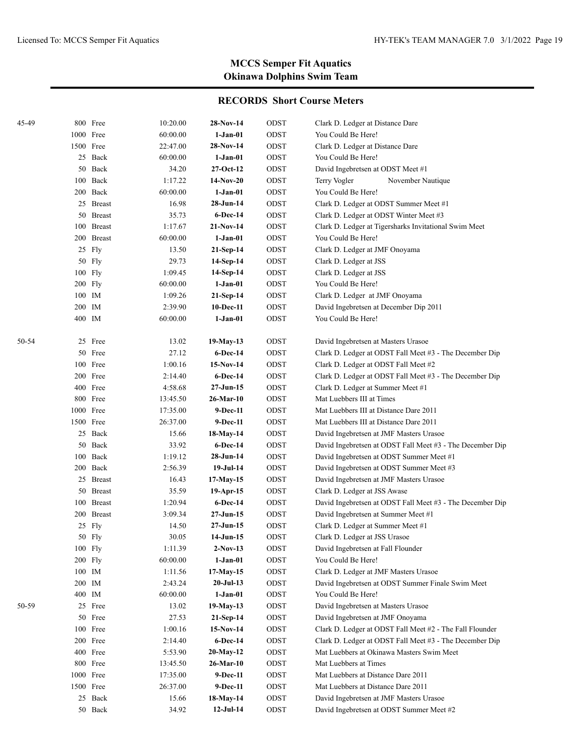| 45-49 |           | 800 Free   | 10:20.00 | 28-Nov-14       | ODST | Clark D. Ledger at Distance Dare                          |
|-------|-----------|------------|----------|-----------------|------|-----------------------------------------------------------|
|       | 1000 Free |            | 60:00.00 | $1-Jan-01$      | ODST | You Could Be Here!                                        |
|       | 1500 Free |            | 22:47.00 | 28-Nov-14       | ODST | Clark D. Ledger at Distance Dare                          |
|       |           | 25 Back    | 60:00.00 | 1-Jan-01        | ODST | You Could Be Here!                                        |
|       |           | 50 Back    | 34.20    | 27-Oct-12       | ODST | David Ingebretsen at ODST Meet #1                         |
|       |           | 100 Back   | 1:17.22  | 14-Nov-20       | ODST | November Nautique<br>Terry Vogler                         |
|       |           | 200 Back   | 60:00.00 | $1-Jan-01$      | ODST | You Could Be Here!                                        |
|       |           | 25 Breast  | 16.98    | 28-Jun-14       | ODST | Clark D. Ledger at ODST Summer Meet #1                    |
|       |           | 50 Breast  | 35.73    | 6-Dec-14        | ODST | Clark D. Ledger at ODST Winter Meet #3                    |
|       |           | 100 Breast | 1:17.67  | 21-Nov-14       | ODST | Clark D. Ledger at Tigersharks Invitational Swim Meet     |
|       |           | 200 Breast | 60:00.00 | 1-Jan-01        | ODST | You Could Be Here!                                        |
|       |           | 25 Fly     | 13.50    | 21-Sep-14       | ODST | Clark D. Ledger at JMF Onoyama                            |
|       |           | 50 Fly     | 29.73    | 14-Sep-14       | ODST | Clark D. Ledger at JSS                                    |
|       | 100 Fly   |            | 1:09.45  | 14-Sep-14       | ODST | Clark D. Ledger at JSS                                    |
|       | 200 Fly   |            | 60:00.00 | $1-Jan-01$      | ODST | You Could Be Here!                                        |
|       | 100 IM    |            | 1:09.26  | 21-Sep-14       | ODST | Clark D. Ledger at JMF Onoyama                            |
|       | 200 IM    |            | 2:39.90  | 10-Dec-11       | ODST | David Ingebretsen at December Dip 2011                    |
|       | 400 IM    |            | 60:00.00 | 1-Jan-01        | ODST | You Could Be Here!                                        |
|       |           |            |          |                 |      |                                                           |
| 50-54 |           | 25 Free    | 13.02    | 19-May-13       | ODST | David Ingebretsen at Masters Urasoe                       |
|       |           | 50 Free    | 27.12    | <b>6-Dec-14</b> | ODST | Clark D. Ledger at ODST Fall Meet #3 - The December Dip   |
|       |           | 100 Free   | 1:00.16  | $15-Nov-14$     | ODST | Clark D. Ledger at ODST Fall Meet #2                      |
|       |           | 200 Free   | 2:14.40  | 6-Dec-14        | ODST | Clark D. Ledger at ODST Fall Meet #3 - The December Dip   |
|       |           | 400 Free   | 4:58.68  | 27-Jun-15       | ODST | Clark D. Ledger at Summer Meet #1                         |
|       |           | 800 Free   | 13:45.50 | 26-Mar-10       | ODST | Mat Luebbers III at Times                                 |
|       | 1000 Free |            | 17:35.00 | 9-Dec-11        | ODST | Mat Luebbers III at Distance Dare 2011                    |
|       | 1500 Free |            | 26:37.00 | 9-Dec-11        | ODST | Mat Luebbers III at Distance Dare 2011                    |
|       |           | 25 Back    | 15.66    | 18-May-14       | ODST | David Ingebretsen at JMF Masters Urasoe                   |
|       |           | 50 Back    | 33.92    | <b>6-Dec-14</b> | ODST | David Ingebretsen at ODST Fall Meet #3 - The December Dip |
|       |           | 100 Back   | 1:19.12  | 28-Jun-14       | ODST | David Ingebretsen at ODST Summer Meet #1                  |
|       |           | 200 Back   | 2:56.39  | 19-Jul-14       | ODST | David Ingebretsen at ODST Summer Meet #3                  |
|       |           | 25 Breast  | 16.43    | 17-May-15       | ODST | David Ingebretsen at JMF Masters Urasoe                   |
|       |           | 50 Breast  | 35.59    | 19-Apr-15       | ODST | Clark D. Ledger at JSS Awase                              |
|       |           | 100 Breast | 1:20.94  | <b>6-Dec-14</b> | ODST | David Ingebretsen at ODST Fall Meet #3 - The December Dip |
|       |           | 200 Breast | 3:09.34  | 27-Jun-15       | ODST | David Ingebretsen at Summer Meet #1                       |
|       |           | 25 Fly     | 14.50    | 27-Jun-15       | ODST | Clark D. Ledger at Summer Meet #1                         |
|       |           | 50 Fly     | 30.05    | 14-Jun-15       | ODST | Clark D. Ledger at JSS Urasoe                             |
|       | 100 Fly   |            | 1:11.39  | $2-Nov-13$      | ODST | David Ingebretsen at Fall Flounder                        |
|       | 200 Fly   |            | 60:00.00 | 1-Jan-01        | ODST | You Could Be Here!                                        |
|       | 100 IM    |            | 1:11.56  | $17-May-15$     | ODST | Clark D. Ledger at JMF Masters Urasoe                     |
|       | 200 IM    |            | 2:43.24  | $20-Jul-13$     | ODST | David Ingebretsen at ODST Summer Finale Swim Meet         |
|       | 400 IM    |            | 60:00.00 | $1-Jan-01$      | ODST | You Could Be Here!                                        |
| 50-59 |           | 25 Free    | 13.02    | 19-May-13       | ODST | David Ingebretsen at Masters Urasoe                       |
|       |           | 50 Free    | 27.53    | $21-Sep-14$     | ODST | David Ingebretsen at JMF Onoyama                          |
|       |           | 100 Free   | 1:00.16  | $15-Nov-14$     | ODST | Clark D. Ledger at ODST Fall Meet #2 - The Fall Flounder  |
|       |           | 200 Free   | 2:14.40  | $6$ -Dec-14     | ODST | Clark D. Ledger at ODST Fall Meet #3 - The December Dip   |
|       |           | 400 Free   | 5:53.90  | $20-May-12$     | ODST | Mat Luebbers at Okinawa Masters Swim Meet                 |
|       |           | 800 Free   | 13:45.50 | 26-Mar-10       | ODST | Mat Luebbers at Times                                     |
|       |           | 1000 Free  | 17:35.00 | 9-Dec-11        | ODST | Mat Luebbers at Distance Dare 2011                        |
|       | 1500 Free |            | 26:37.00 | 9-Dec-11        | ODST | Mat Luebbers at Distance Dare 2011                        |
|       |           | 25 Back    | 15.66    | 18-May-14       | ODST | David Ingebretsen at JMF Masters Urasoe                   |
|       |           | 50 Back    | 34.92    | $12-Jul-14$     | ODST | David Ingebretsen at ODST Summer Meet #2                  |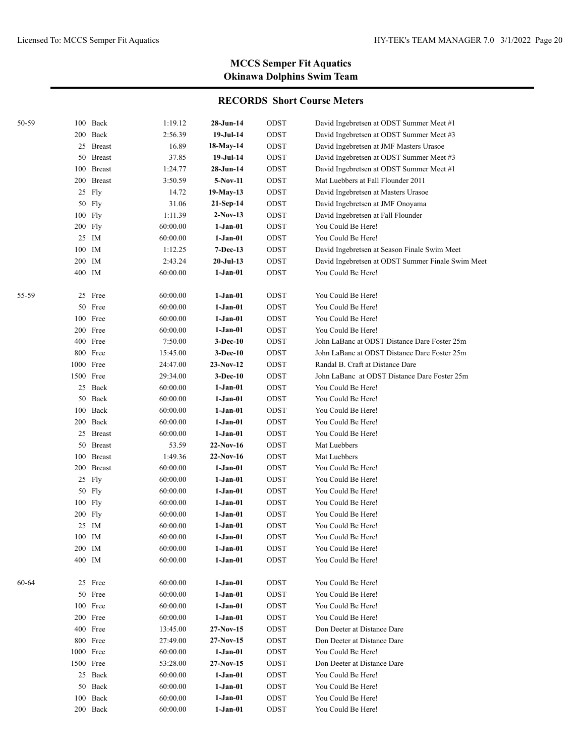| 50-59 |           | 100 Back   | 1:19.12  | 28-Jun-14   | ODST        | David Ingebretsen at ODST Summer Meet #1          |
|-------|-----------|------------|----------|-------------|-------------|---------------------------------------------------|
|       |           | 200 Back   | 2:56.39  | 19-Jul-14   | ODST        | David Ingebretsen at ODST Summer Meet #3          |
|       |           | 25 Breast  | 16.89    | 18-May-14   | ODST        | David Ingebretsen at JMF Masters Urasoe           |
|       |           | 50 Breast  | 37.85    | 19-Jul-14   | ODST        | David Ingebretsen at ODST Summer Meet #3          |
|       |           | 100 Breast | 1:24.77  | $28-Jun-14$ | ODST        | David Ingebretsen at ODST Summer Meet #1          |
|       |           | 200 Breast | 3:50.59  | 5-Nov-11    | ODST        | Mat Luebbers at Fall Flounder 2011                |
|       |           | 25 Fly     | 14.72    | 19-May-13   | ODST        | David Ingebretsen at Masters Urasoe               |
|       |           | 50 Fly     | 31.06    | 21-Sep-14   | ODST        | David Ingebretsen at JMF Onoyama                  |
|       |           | 100 Fly    | 1:11.39  | $2-Nov-13$  | ODST        | David Ingebretsen at Fall Flounder                |
|       |           | 200 Fly    | 60:00.00 | $1-Jan-01$  | ODST        | You Could Be Here!                                |
|       |           | 25 IM      | 60:00.00 | $1-Jan-01$  | ODST        | You Could Be Here!                                |
|       | 100 IM    |            | 1:12.25  | 7-Dec-13    | ODST        | David Ingebretsen at Season Finale Swim Meet      |
|       | 200 IM    |            | 2:43.24  | $20-Jul-13$ | ODST        | David Ingebretsen at ODST Summer Finale Swim Meet |
|       | 400 IM    |            | 60:00.00 | $1-Jan-01$  | ODST        | You Could Be Here!                                |
|       |           |            |          |             |             |                                                   |
| 55-59 |           | 25 Free    | 60:00.00 | $1-Jan-01$  | ODST        | You Could Be Here!                                |
|       |           | 50 Free    | 60:00.00 | $1-Jan-01$  | ODST        | You Could Be Here!                                |
|       |           | 100 Free   | 60:00.00 | 1-Jan-01    | ODST        | You Could Be Here!                                |
|       |           | 200 Free   | 60:00.00 | 1-Jan-01    | ODST        | You Could Be Here!                                |
|       |           | 400 Free   | 7:50.00  | $3-Dec-10$  | ODST        | John LaBanc at ODST Distance Dare Foster 25m      |
|       |           | 800 Free   | 15:45.00 | 3-Dec-10    | ODST        | John LaBanc at ODST Distance Dare Foster 25m      |
|       |           | 1000 Free  | 24:47.00 | $23-Nov-12$ | ODST        | Randal B. Craft at Distance Dare                  |
|       |           | 1500 Free  | 29:34.00 | $3-Dec-10$  | ODST        | John LaBanc at ODST Distance Dare Foster 25m      |
|       |           | 25 Back    | 60:00.00 | $1-Jan-01$  | ODST        | You Could Be Here!                                |
|       |           | 50 Back    | 60:00.00 | $1-Jan-01$  | ODST        | You Could Be Here!                                |
|       |           | 100 Back   | 60:00.00 | $1-Jan-01$  | ODST        | You Could Be Here!                                |
|       |           | 200 Back   | 60:00.00 | $1-Jan-01$  | ODST        | You Could Be Here!                                |
|       |           | 25 Breast  | 60:00.00 | $1-Jan-01$  | <b>ODST</b> | You Could Be Here!                                |
|       |           | 50 Breast  | 53.59    | $22-Nov-16$ | <b>ODST</b> | Mat Luebbers                                      |
|       |           | 100 Breast | 1:49.36  | $22-Nov-16$ | <b>ODST</b> | Mat Luebbers                                      |
|       |           | 200 Breast | 60:00.00 | $1-Jan-01$  | <b>ODST</b> | You Could Be Here!                                |
|       |           | 25 Fly     | 60:00.00 | $1-Jan-01$  | <b>ODST</b> | You Could Be Here!                                |
|       |           | 50 Fly     | 60:00.00 | $1-Jan-01$  | ODST        | You Could Be Here!                                |
|       |           | 100 Fly    | 60:00.00 | $1-Jan-01$  | ODST        | You Could Be Here!                                |
|       |           | 200 Fly    | 60:00.00 | 1-Jan-01    | ODST        | You Could Be Here!                                |
|       |           | 25 IM      | 60:00.00 | 1-Jan-01    | ODST        | You Could Be Here!                                |
|       | 100 IM    |            | 60:00.00 | 1-Jan-01    | ODST        | You Could Be Here!                                |
|       | 200 IM    |            | 60:00.00 | $1-Jan-01$  | $\rm{ODST}$ | You Could Be Here!                                |
|       | 400 IM    |            | 60:00.00 | $1-Jan-01$  | ODST        | You Could Be Here!                                |
|       |           |            |          |             |             |                                                   |
| 60-64 |           | 25 Free    | 60:00.00 | $1-Jan-01$  | ODST        | You Could Be Here!                                |
|       |           | 50 Free    | 60:00.00 | $1-Jan-01$  | ODST        | You Could Be Here!                                |
|       |           | 100 Free   | 60:00.00 | $1-Jan-01$  | ODST        | You Could Be Here!                                |
|       |           | 200 Free   | 60:00.00 | $1-Jan-01$  | ODST        | You Could Be Here!                                |
|       |           | 400 Free   | 13:45.00 | $27-Nov-15$ | ODST        | Don Deeter at Distance Dare                       |
|       |           | 800 Free   | 27:49.00 | $27-Nov-15$ | ODST        | Don Deeter at Distance Dare                       |
|       |           | 1000 Free  | 60:00.00 | $1-Jan-01$  | ODST        | You Could Be Here!                                |
|       | 1500 Free |            | 53:28.00 | $27-Nov-15$ | ODST        | Don Deeter at Distance Dare                       |
|       |           | 25 Back    | 60:00.00 | $1-Jan-01$  | ODST        | You Could Be Here!                                |
|       |           | 50 Back    | 60:00.00 | $1-Jan-01$  | ODST        | You Could Be Here!                                |
|       |           | 100 Back   | 60:00.00 | $1-Jan-01$  | ODST        | You Could Be Here!                                |
|       |           | 200 Back   | 60:00.00 | $1-Jan-01$  | ODST        | You Could Be Here!                                |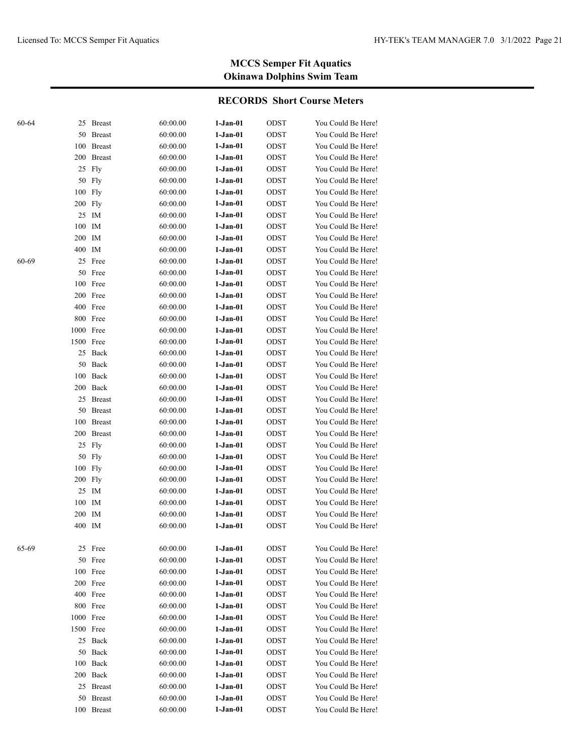| 60-64 |           | 25 Breast     | 60:00.00 | $1-Jan-01$ | ODST        | You Could Be Here! |
|-------|-----------|---------------|----------|------------|-------------|--------------------|
|       | 50        | <b>Breast</b> | 60:00.00 | $1-Jan-01$ | ODST        | You Could Be Here! |
|       | 100       | <b>Breast</b> | 60:00.00 | $1-Jan-01$ | ODST        | You Could Be Here! |
|       | 200       | <b>Breast</b> | 60:00.00 | $1-Jan-01$ | ODST        | You Could Be Here! |
|       |           | 25 Fly        | 60:00.00 | 1-Jan-01   | ODST        | You Could Be Here! |
|       |           | 50 Fly        | 60:00.00 | $1-Jan-01$ | ODST        | You Could Be Here! |
|       | 100       | Fly           | 60:00.00 | $1-Jan-01$ | ODST        | You Could Be Here! |
|       | 200       | Fly           | 60:00.00 | $1-Jan-01$ | ODST        | You Could Be Here! |
|       |           | 25 IM         | 60:00.00 | $1-Jan-01$ | ODST        | You Could Be Here! |
|       | 100 IM    |               | 60:00.00 | $1-Jan-01$ | ODST        | You Could Be Here! |
|       | 200 IM    |               | 60:00.00 | 1-Jan-01   | ODST        | You Could Be Here! |
|       | 400 IM    |               | 60:00.00 | 1-Jan-01   | ODST        | You Could Be Here! |
| 60-69 |           | 25 Free       | 60:00.00 | $1-Jan-01$ | ODST        | You Could Be Here! |
|       |           | 50 Free       | 60:00.00 | $1-Jan-01$ | ODST        | You Could Be Here! |
|       |           | 100 Free      | 60:00.00 | $1-Jan-01$ | ODST        | You Could Be Here! |
|       |           | 200 Free      | 60:00.00 | $1-Jan-01$ | ODST        | You Could Be Here! |
|       |           | 400 Free      | 60:00.00 | $1-Jan-01$ | ODST        | You Could Be Here! |
|       |           | 800 Free      | 60:00.00 | $1-Jan-01$ | ODST        | You Could Be Here! |
|       | 1000 Free |               | 60:00.00 | 1-Jan-01   | ODST        | You Could Be Here! |
|       | 1500 Free |               | 60:00.00 | 1-Jan-01   | <b>ODST</b> | You Could Be Here! |
|       |           | 25 Back       | 60:00.00 | $1-Jan-01$ | ODST        | You Could Be Here! |
|       |           | 50 Back       | 60:00.00 | $1-Jan-01$ | ODST        | You Could Be Here! |
|       |           | 100 Back      | 60:00.00 | 1-Jan-01   | ODST        | You Could Be Here! |
|       |           | 200 Back      | 60:00.00 | 1-Jan-01   | ODST        | You Could Be Here! |
|       |           | 25 Breast     | 60:00.00 | 1-Jan-01   | ODST        | You Could Be Here! |
|       |           | 50 Breast     | 60:00.00 | 1-Jan-01   | ODST        | You Could Be Here! |
|       | 100       | <b>Breast</b> | 60:00.00 | 1-Jan-01   | ODST        | You Could Be Here! |
|       | 200       | Breast        | 60:00.00 | $1-Jan-01$ | ODST        | You Could Be Here! |
|       |           | 25 Fly        | 60:00.00 | $1-Jan-01$ | ODST        | You Could Be Here! |
|       |           | 50 Fly        | 60:00.00 | 1-Jan-01   | ODST        | You Could Be Here! |
|       | 100 Fly   |               | 60:00.00 | 1-Jan-01   | ODST        | You Could Be Here! |
|       | 200 Fly   |               | 60:00.00 | 1-Jan-01   | ODST        | You Could Be Here! |
|       | 25 IM     |               | 60:00.00 | 1-Jan-01   | ODST        | You Could Be Here! |
|       | 100       | IM            | 60:00.00 | 1-Jan-01   | ODST        | You Could Be Here! |
|       | 200 IM    |               | 60:00.00 | 1-Jan-01   | ODST        | You Could Be Here! |
|       | 400 IM    |               | 60:00.00 | $1-Jan-01$ | ODST        | You Could Be Here! |
|       |           |               |          |            |             |                    |
| 65-69 |           | 25 Free       | 60:00.00 | $1-Jan-01$ | ODST        | You Could Be Here! |
|       |           | 50 Free       | 60:00.00 | $1-Jan-01$ | ODST        | You Could Be Here! |
|       |           | 100 Free      | 60:00.00 | $1-Jan-01$ | ODST        | You Could Be Here! |
|       |           | 200 Free      | 60:00.00 | $1-Jan-01$ | ODST        | You Could Be Here! |
|       |           | 400 Free      | 60:00.00 | $1-Jan-01$ | ODST        | You Could Be Here! |
|       |           | 800 Free      | 60:00.00 | $1-Jan-01$ | ODST        | You Could Be Here! |
|       | 1000 Free |               | 60:00.00 | $1-Jan-01$ | ODST        | You Could Be Here! |
|       | 1500 Free |               | 60:00.00 | $1-Jan-01$ | ODST        | You Could Be Here! |
|       |           | 25 Back       | 60:00.00 | $1-Jan-01$ | ODST        | You Could Be Here! |
|       |           | 50 Back       | 60:00.00 | $1-Jan-01$ | ODST        | You Could Be Here! |
|       |           | 100 Back      | 60:00.00 | $1-Jan-01$ | ODST        | You Could Be Here! |
|       |           | 200 Back      | 60:00.00 | $1-Jan-01$ | ODST        | You Could Be Here! |
|       |           | 25 Breast     | 60:00.00 | $1-Jan-01$ | ODST        | You Could Be Here! |
|       |           | 50 Breast     | 60:00.00 | $1-Jan-01$ | ODST        | You Could Be Here! |
|       |           | 100 Breast    | 60:00.00 | $1-Jan-01$ | ODST        | You Could Be Here! |
|       |           |               |          |            |             |                    |